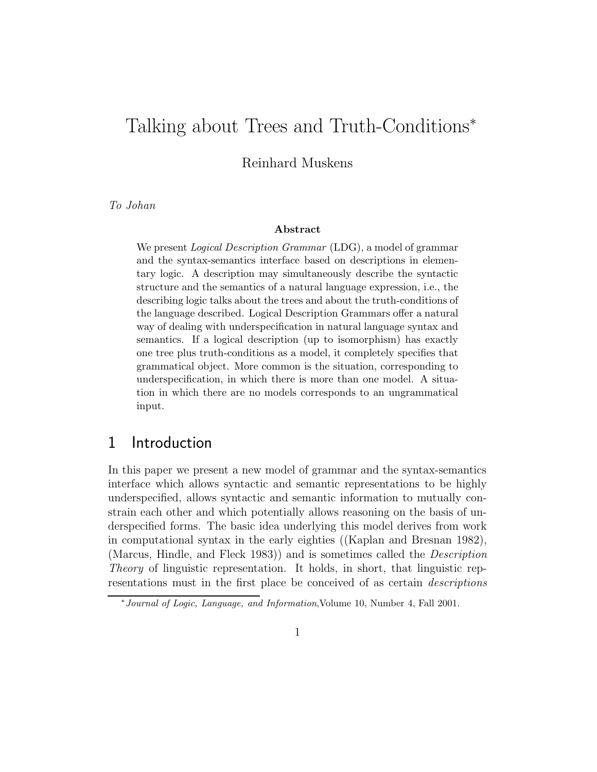# Talking about Trees and Truth-Conditions<sup>∗</sup>

Reinhard Muskens

*To Johan*

#### Abstract

We present *Logical Description Grammar* (LDG), a model of grammar and the syntax-semantics interface based on descriptions in elementary logic. A description may simultaneously describe the syntactic structure and the semantics of a natural language expression, i.e., the describing logic talks about the trees and about the truth-conditions of the language described. Logical Description Grammars offer a natural way of dealing with underspecification in natural language syntax and semantics. If a logical description (up to isomorphism) has exactly one tree plus truth-conditions as a model, it completely specifies that grammatical object. More common is the situation, corresponding to underspecification, in which there is more than one model. A situation in which there are no models corresponds to an ungrammatical input.

### 1 Introduction

In this paper we present a new model of grammar and the syntax-semantics interface which allows syntactic and semantic representations to be highly underspecified, allows syntactic and semantic information to mutually constrain each other and which potentially allows reasoning on the basis of underspecified forms. The basic idea underlying this model derives from work in computational syntax in the early eighties ((Kaplan and Bresnan 1982), (Marcus, Hindle, and Fleck 1983)) and is sometimes called the *Description Theory* of linguistic representation. It holds, in short, that linguistic representations must in the first place be conceived of as certain *descriptions*

<sup>∗</sup>Journal of Logic, Language, and Information,Volume 10, Number 4, Fall 2001.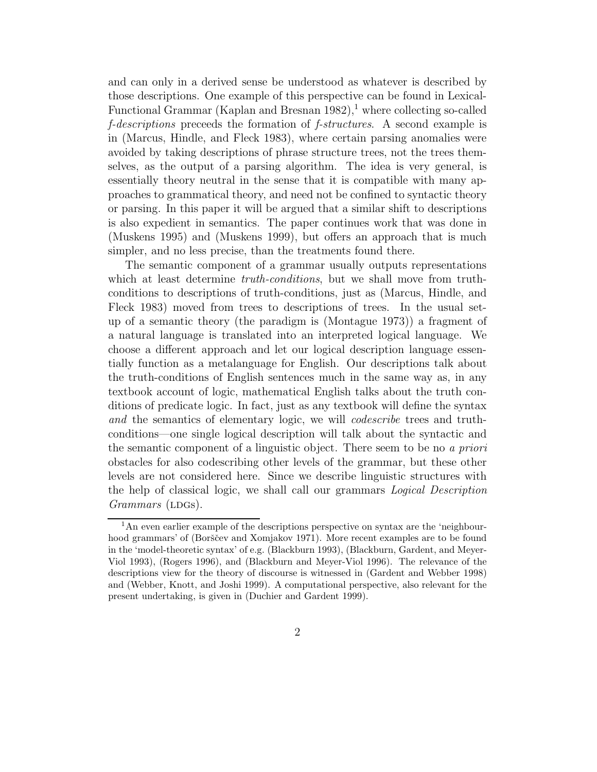and can only in a derived sense be understood as whatever is described by those descriptions. One example of this perspective can be found in Lexical-Functional Grammar (Kaplan and Bresnan  $1982$ ),<sup>1</sup> where collecting so-called *f-descriptions* preceeds the formation of *f-structures*. A second example is in (Marcus, Hindle, and Fleck 1983), where certain parsing anomalies were avoided by taking descriptions of phrase structure trees, not the trees themselves, as the output of a parsing algorithm. The idea is very general, is essentially theory neutral in the sense that it is compatible with many approaches to grammatical theory, and need not be confined to syntactic theory or parsing. In this paper it will be argued that a similar shift to descriptions is also expedient in semantics. The paper continues work that was done in (Muskens 1995) and (Muskens 1999), but offers an approach that is much simpler, and no less precise, than the treatments found there.

The semantic component of a grammar usually outputs representations which at least determine *truth-conditions*, but we shall move from truthconditions to descriptions of truth-conditions, just as (Marcus, Hindle, and Fleck 1983) moved from trees to descriptions of trees. In the usual setup of a semantic theory (the paradigm is (Montague 1973)) a fragment of a natural language is translated into an interpreted logical language. We choose a different approach and let our logical description language essentially function as a metalanguage for English. Our descriptions talk about the truth-conditions of English sentences much in the same way as, in any textbook account of logic, mathematical English talks about the truth conditions of predicate logic. In fact, just as any textbook will define the syntax *and* the semantics of elementary logic, we will *codescribe* trees and truthconditions—one single logical description will talk about the syntactic and the semantic component of a linguistic object. There seem to be no *a priori* obstacles for also codescribing other levels of the grammar, but these other levels are not considered here. Since we describe linguistic structures with the help of classical logic, we shall call our grammars *Logical Description Grammars* (LDGs).

<sup>&</sup>lt;sup>1</sup>An even earlier example of the descriptions perspective on syntax are the 'neighbourhood grammars' of (Borščev and Xomjakov 1971). More recent examples are to be found in the 'model-theoretic syntax' of e.g. (Blackburn 1993), (Blackburn, Gardent, and Meyer-Viol 1993), (Rogers 1996), and (Blackburn and Meyer-Viol 1996). The relevance of the descriptions view for the theory of discourse is witnessed in (Gardent and Webber 1998) and (Webber, Knott, and Joshi 1999). A computational perspective, also relevant for the present undertaking, is given in (Duchier and Gardent 1999).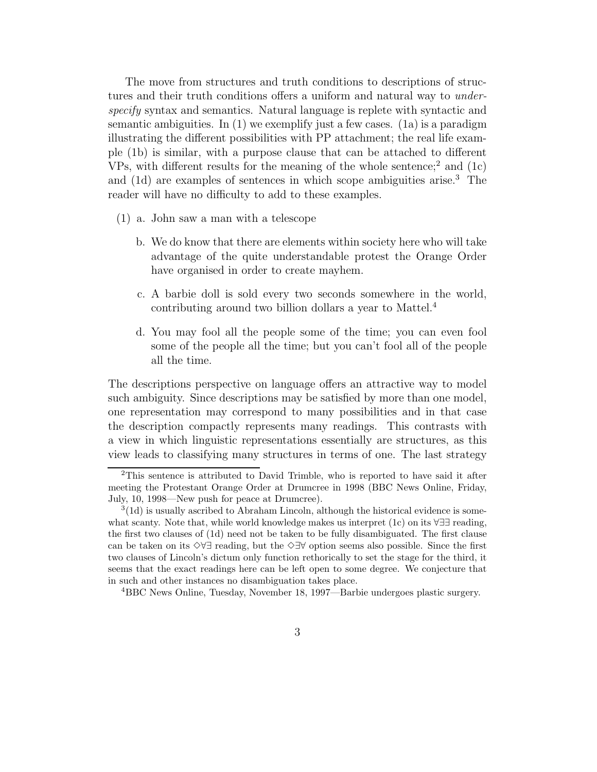The move from structures and truth conditions to descriptions of structures and their truth conditions offers a uniform and natural way to *underspecify* syntax and semantics. Natural language is replete with syntactic and semantic ambiguities. In  $(1)$  we exemplify just a few cases.  $(1a)$  is a paradigm illustrating the different possibilities with PP attachment; the real life example (1b) is similar, with a purpose clause that can be attached to different VPs, with different results for the meaning of the whole sentence;<sup>2</sup> and  $(1c)$ and (1d) are examples of sentences in which scope ambiguities arise.<sup>3</sup> The reader will have no difficulty to add to these examples.

- (1) a. John saw a man with a telescope
	- b. We do know that there are elements within society here who will take advantage of the quite understandable protest the Orange Order have organised in order to create mayhem.
	- c. A barbie doll is sold every two seconds somewhere in the world, contributing around two billion dollars a year to Mattel.<sup>4</sup>
	- d. You may fool all the people some of the time; you can even fool some of the people all the time; but you can't fool all of the people all the time.

The descriptions perspective on language offers an attractive way to model such ambiguity. Since descriptions may be satisfied by more than one model, one representation may correspond to many possibilities and in that case the description compactly represents many readings. This contrasts with a view in which linguistic representations essentially are structures, as this view leads to classifying many structures in terms of one. The last strategy

<sup>2</sup>This sentence is attributed to David Trimble, who is reported to have said it after meeting the Protestant Orange Order at Drumcree in 1998 (BBC News Online, Friday, July, 10, 1998—New push for peace at Drumcree).

 $3(1d)$  is usually ascribed to Abraham Lincoln, although the historical evidence is somewhat scanty. Note that, while world knowledge makes us interpret (1c) on its ∀∃∃ reading, the first two clauses of (1d) need not be taken to be fully disambiguated. The first clause can be taken on its ✸∀∃ reading, but the ✸∃∀ option seems also possible. Since the first two clauses of Lincoln's dictum only function rethorically to set the stage for the third, it seems that the exact readings here can be left open to some degree. We conjecture that in such and other instances no disambiguation takes place.

<sup>4</sup>BBC News Online, Tuesday, November 18, 1997—Barbie undergoes plastic surgery.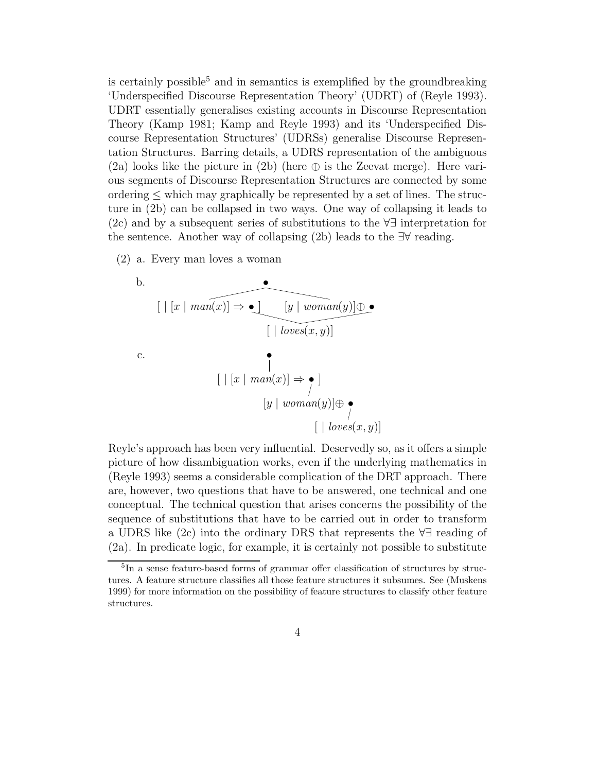is certainly possible<sup>5</sup> and in semantics is exemplified by the groundbreaking 'Underspecified Discourse Representation Theory' (UDRT) of (Reyle 1993). UDRT essentially generalises existing accounts in Discourse Representation Theory (Kamp 1981; Kamp and Reyle 1993) and its 'Underspecified Discourse Representation Structures' (UDRSs) generalise Discourse Representation Structures. Barring details, a UDRS representation of the ambiguous (2a) looks like the picture in (2b) (here  $\oplus$  is the Zeevat merge). Here various segments of Discourse Representation Structures are connected by some ordering  $\leq$  which may graphically be represented by a set of lines. The structure in (2b) can be collapsed in two ways. One way of collapsing it leads to (2c) and by a subsequent series of substitutions to the ∀∃ interpretation for the sentence. Another way of collapsing (2b) leads to the ∃∀ reading.

(2) a. Every man loves a woman



Reyle's approach has been very influential. Deservedly so, as it offers a simple picture of how disambiguation works, even if the underlying mathematics in (Reyle 1993) seems a considerable complication of the DRT approach. There are, however, two questions that have to be answered, one technical and one conceptual. The technical question that arises concerns the possibility of the sequence of substitutions that have to be carried out in order to transform a UDRS like (2c) into the ordinary DRS that represents the ∀∃ reading of (2a). In predicate logic, for example, it is certainly not possible to substitute

<sup>&</sup>lt;sup>5</sup>In a sense feature-based forms of grammar offer classification of structures by structures. A feature structure classifies all those feature structures it subsumes. See (Muskens 1999) for more information on the possibility of feature structures to classify other feature structures.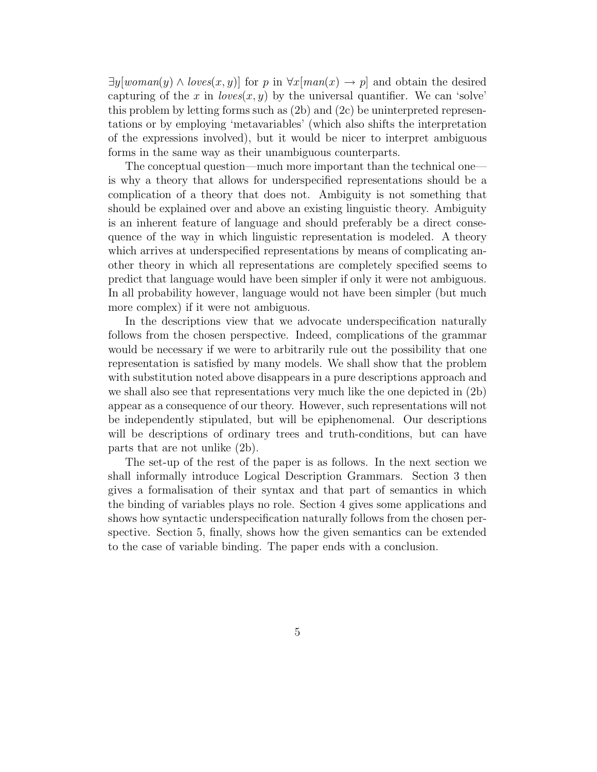$\exists y \{woman(y) \land loves(x, y)\}$  for p in  $\forall x \{man(x) \rightarrow p\}$  and obtain the desired capturing of the x in  $loves(x, y)$  by the universal quantifier. We can 'solve' this problem by letting forms such as (2b) and (2c) be uninterpreted representations or by employing 'metavariables' (which also shifts the interpretation of the expressions involved), but it would be nicer to interpret ambiguous forms in the same way as their unambiguous counterparts.

The conceptual question—much more important than the technical one is why a theory that allows for underspecified representations should be a complication of a theory that does not. Ambiguity is not something that should be explained over and above an existing linguistic theory. Ambiguity is an inherent feature of language and should preferably be a direct consequence of the way in which linguistic representation is modeled. A theory which arrives at underspecified representations by means of complicating another theory in which all representations are completely specified seems to predict that language would have been simpler if only it were not ambiguous. In all probability however, language would not have been simpler (but much more complex) if it were not ambiguous.

In the descriptions view that we advocate underspecification naturally follows from the chosen perspective. Indeed, complications of the grammar would be necessary if we were to arbitrarily rule out the possibility that one representation is satisfied by many models. We shall show that the problem with substitution noted above disappears in a pure descriptions approach and we shall also see that representations very much like the one depicted in (2b) appear as a consequence of our theory. However, such representations will not be independently stipulated, but will be epiphenomenal. Our descriptions will be descriptions of ordinary trees and truth-conditions, but can have parts that are not unlike (2b).

The set-up of the rest of the paper is as follows. In the next section we shall informally introduce Logical Description Grammars. Section 3 then gives a formalisation of their syntax and that part of semantics in which the binding of variables plays no role. Section 4 gives some applications and shows how syntactic underspecification naturally follows from the chosen perspective. Section 5, finally, shows how the given semantics can be extended to the case of variable binding. The paper ends with a conclusion.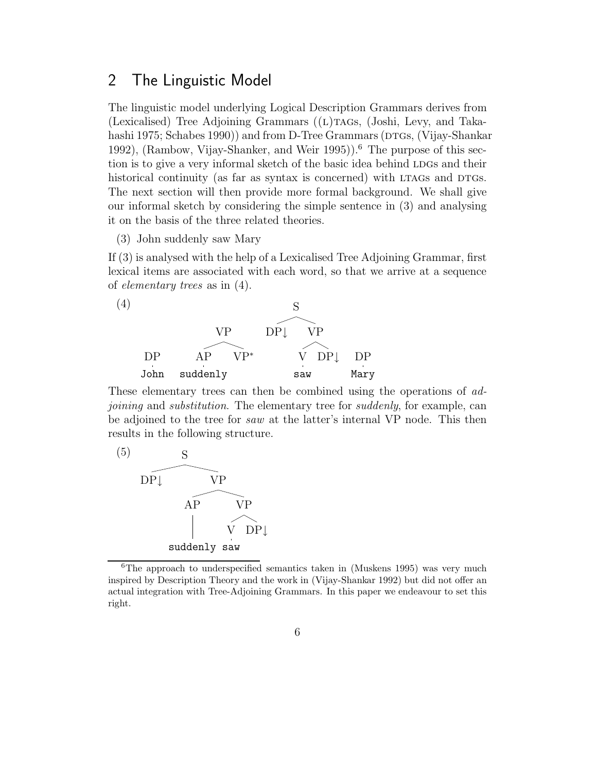### 2 The Linguistic Model

The linguistic model underlying Logical Description Grammars derives from (Lexicalised) Tree Adjoining Grammars  $((L)$ TAGs,  $(John, Levy, and Taka-)$ hashi 1975; Schabes 1990)) and from D-Tree Grammars (DTGs, (Vijay-Shankar 1992), (Rambow, Vijay-Shanker, and Weir 1995)).<sup>6</sup> The purpose of this section is to give a very informal sketch of the basic idea behind LDGs and their historical continuity (as far as syntax is concerned) with LTAGs and DTGs. The next section will then provide more formal background. We shall give our informal sketch by considering the simple sentence in (3) and analysing it on the basis of the three related theories.

(3) John suddenly saw Mary

If (3) is analysed with the help of a Lexicalised Tree Adjoining Grammar, first lexical items are associated with each word, so that we arrive at a sequence of *elementary trees* as in (4).



These elementary trees can then be combined using the operations of *adjoining* and *substitution*. The elementary tree for *suddenly*, for example, can be adjoined to the tree for *saw* at the latter's internal VP node. This then results in the following structure.



 $6$ The approach to underspecified semantics taken in (Muskens 1995) was very much inspired by Description Theory and the work in (Vijay-Shankar 1992) but did not offer an actual integration with Tree-Adjoining Grammars. In this paper we endeavour to set this right.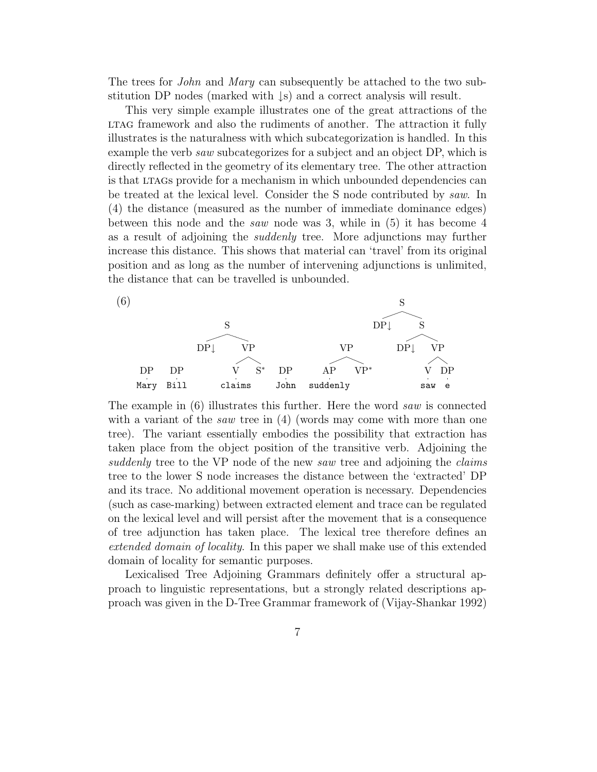The trees for *John* and *Mary* can subsequently be attached to the two substitution DP nodes (marked with ↓s) and a correct analysis will result.

This very simple example illustrates one of the great attractions of the LTAG framework and also the rudiments of another. The attraction it fully illustrates is the naturalness with which subcategorization is handled. In this example the verb *saw* subcategorizes for a subject and an object DP, which is directly reflected in the geometry of its elementary tree. The other attraction is that LTAGs provide for a mechanism in which unbounded dependencies can be treated at the lexical level. Consider the S node contributed by *saw*. In (4) the distance (measured as the number of immediate dominance edges) between this node and the *saw* node was 3, while in (5) it has become 4 as a result of adjoining the *suddenly* tree. More adjunctions may further increase this distance. This shows that material can 'travel' from its original position and as long as the number of intervening adjunctions is unlimited, the distance that can be travelled is unbounded.



The example in (6) illustrates this further. Here the word *saw* is connected with a variant of the *saw* tree in (4) (words may come with more than one tree). The variant essentially embodies the possibility that extraction has taken place from the object position of the transitive verb. Adjoining the *suddenly* tree to the VP node of the new *saw* tree and adjoining the *claims* tree to the lower S node increases the distance between the 'extracted' DP and its trace. No additional movement operation is necessary. Dependencies (such as case-marking) between extracted element and trace can be regulated on the lexical level and will persist after the movement that is a consequence of tree adjunction has taken place. The lexical tree therefore defines an *extended domain of locality*. In this paper we shall make use of this extended domain of locality for semantic purposes.

Lexicalised Tree Adjoining Grammars definitely offer a structural approach to linguistic representations, but a strongly related descriptions approach was given in the D-Tree Grammar framework of (Vijay-Shankar 1992)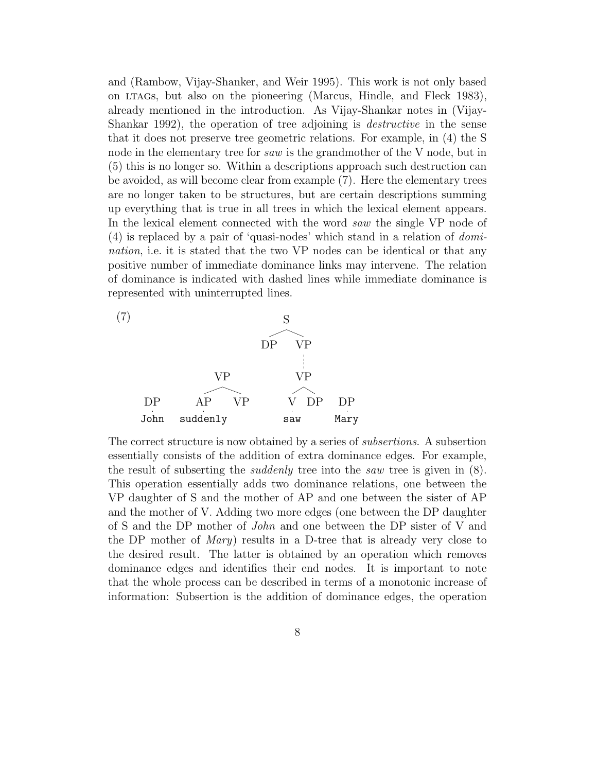and (Rambow, Vijay-Shanker, and Weir 1995). This work is not only based on ltags, but also on the pioneering (Marcus, Hindle, and Fleck 1983), already mentioned in the introduction. As Vijay-Shankar notes in (Vijay-Shankar 1992), the operation of tree adjoining is *destructive* in the sense that it does not preserve tree geometric relations. For example, in (4) the S node in the elementary tree for *saw* is the grandmother of the V node, but in (5) this is no longer so. Within a descriptions approach such destruction can be avoided, as will become clear from example (7). Here the elementary trees are no longer taken to be structures, but are certain descriptions summing up everything that is true in all trees in which the lexical element appears. In the lexical element connected with the word *saw* the single VP node of (4) is replaced by a pair of 'quasi-nodes' which stand in a relation of *domination*, i.e. it is stated that the two VP nodes can be identical or that any positive number of immediate dominance links may intervene. The relation of dominance is indicated with dashed lines while immediate dominance is represented with uninterrupted lines.



The correct structure is now obtained by a series of *subsertions*. A subsertion essentially consists of the addition of extra dominance edges. For example, the result of subserting the *suddenly* tree into the *saw* tree is given in (8). This operation essentially adds two dominance relations, one between the VP daughter of S and the mother of AP and one between the sister of AP and the mother of V. Adding two more edges (one between the DP daughter of S and the DP mother of *John* and one between the DP sister of V and the DP mother of *Mary*) results in a D-tree that is already very close to the desired result. The latter is obtained by an operation which removes dominance edges and identifies their end nodes. It is important to note that the whole process can be described in terms of a monotonic increase of information: Subsertion is the addition of dominance edges, the operation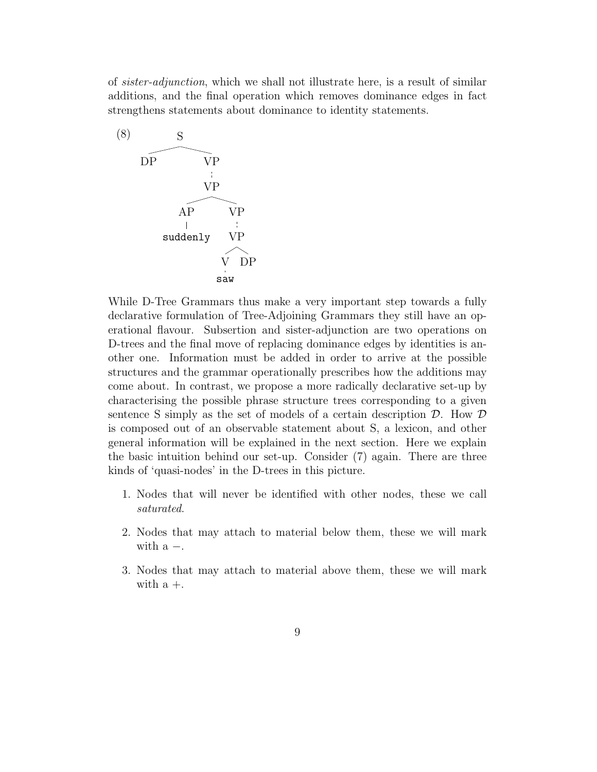of *sister-adjunction*, which we shall not illustrate here, is a result of similar additions, and the final operation which removes dominance edges in fact strengthens statements about dominance to identity statements.



While D-Tree Grammars thus make a very important step towards a fully declarative formulation of Tree-Adjoining Grammars they still have an operational flavour. Subsertion and sister-adjunction are two operations on D-trees and the final move of replacing dominance edges by identities is another one. Information must be added in order to arrive at the possible structures and the grammar operationally prescribes how the additions may come about. In contrast, we propose a more radically declarative set-up by characterising the possible phrase structure trees corresponding to a given sentence S simply as the set of models of a certain description  $D$ . How  $D$ is composed out of an observable statement about S, a lexicon, and other general information will be explained in the next section. Here we explain the basic intuition behind our set-up. Consider (7) again. There are three kinds of 'quasi-nodes' in the D-trees in this picture.

- 1. Nodes that will never be identified with other nodes, these we call *saturated*.
- 2. Nodes that may attach to material below them, these we will mark with  $a -$ .
- 3. Nodes that may attach to material above them, these we will mark with  $a +$ .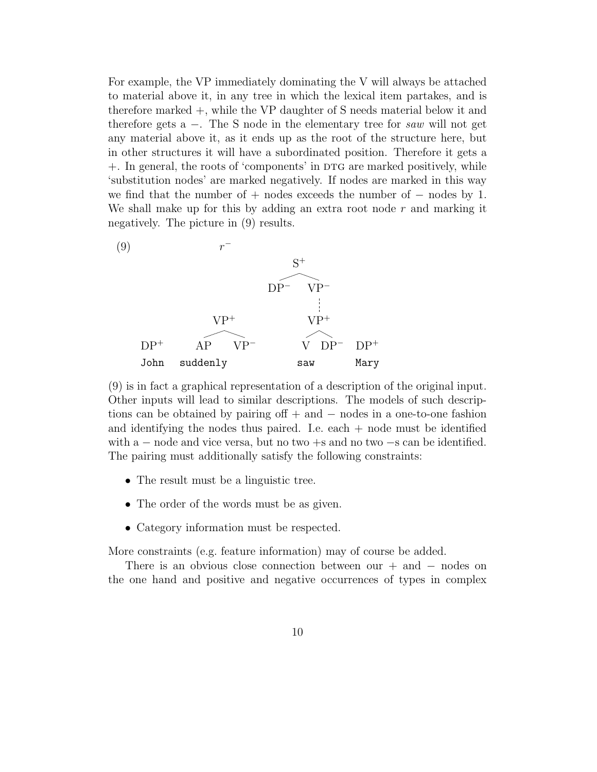For example, the VP immediately dominating the V will always be attached to material above it, in any tree in which the lexical item partakes, and is therefore marked +, while the VP daughter of S needs material below it and therefore gets a −. The S node in the elementary tree for *saw* will not get any material above it, as it ends up as the root of the structure here, but in other structures it will have a subordinated position. Therefore it gets a +. In general, the roots of 'components' in DTG are marked positively, while 'substitution nodes' are marked negatively. If nodes are marked in this way we find that the number of  $+$  nodes exceeds the number of  $-$  nodes by 1. We shall make up for this by adding an extra root node  $r$  and marking it negatively. The picture in (9) results.



(9) is in fact a graphical representation of a description of the original input. Other inputs will lead to similar descriptions. The models of such descriptions can be obtained by pairing off + and − nodes in a one-to-one fashion and identifying the nodes thus paired. I.e. each  $+$  node must be identified with a  $-$  node and vice versa, but no two  $+s$  and no two  $-s$  can be identified. The pairing must additionally satisfy the following constraints:

- The result must be a linguistic tree.
- The order of the words must be as given.
- Category information must be respected.

More constraints (e.g. feature information) may of course be added.

There is an obvious close connection between our  $+$  and  $-$  nodes on the one hand and positive and negative occurrences of types in complex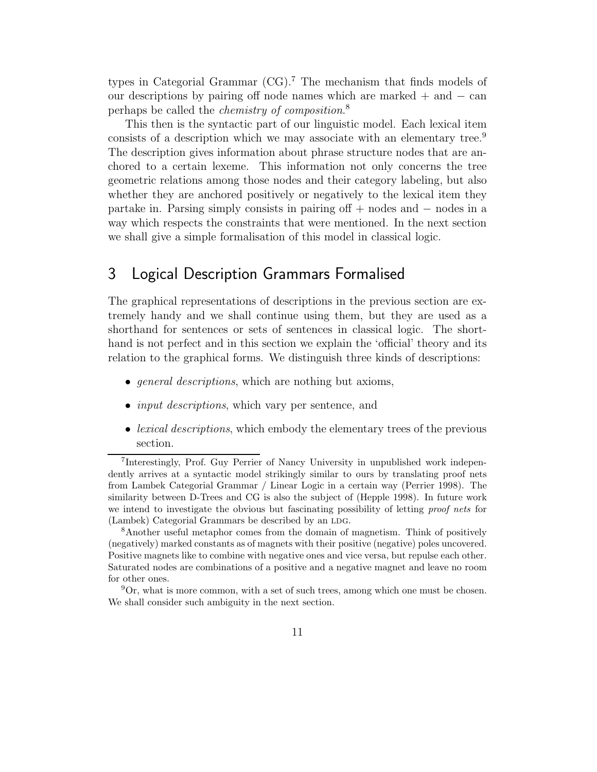types in Categorial Grammar  $(CG)$ .<sup>7</sup> The mechanism that finds models of our descriptions by pairing off node names which are marked  $+$  and  $-$  can perhaps be called the *chemistry of composition*. 8

This then is the syntactic part of our linguistic model. Each lexical item consists of a description which we may associate with an elementary tree.<sup>9</sup> The description gives information about phrase structure nodes that are anchored to a certain lexeme. This information not only concerns the tree geometric relations among those nodes and their category labeling, but also whether they are anchored positively or negatively to the lexical item they partake in. Parsing simply consists in pairing off + nodes and − nodes in a way which respects the constraints that were mentioned. In the next section we shall give a simple formalisation of this model in classical logic.

## 3 Logical Description Grammars Formalised

The graphical representations of descriptions in the previous section are extremely handy and we shall continue using them, but they are used as a shorthand for sentences or sets of sentences in classical logic. The shorthand is not perfect and in this section we explain the 'official' theory and its relation to the graphical forms. We distinguish three kinds of descriptions:

- *general descriptions*, which are nothing but axioms,
- *input descriptions*, which vary per sentence, and
- *lexical descriptions*, which embody the elementary trees of the previous section.

<sup>7</sup> Interestingly, Prof. Guy Perrier of Nancy University in unpublished work independently arrives at a syntactic model strikingly similar to ours by translating proof nets from Lambek Categorial Grammar / Linear Logic in a certain way (Perrier 1998). The similarity between D-Trees and CG is also the subject of (Hepple 1998). In future work we intend to investigate the obvious but fascinating possibility of letting proof nets for (Lambek) Categorial Grammars be described by an LDG.

<sup>8</sup>Another useful metaphor comes from the domain of magnetism. Think of positively (negatively) marked constants as of magnets with their positive (negative) poles uncovered. Positive magnets like to combine with negative ones and vice versa, but repulse each other. Saturated nodes are combinations of a positive and a negative magnet and leave no room for other ones.

 ${}^{9}$ Or, what is more common, with a set of such trees, among which one must be chosen. We shall consider such ambiguity in the next section.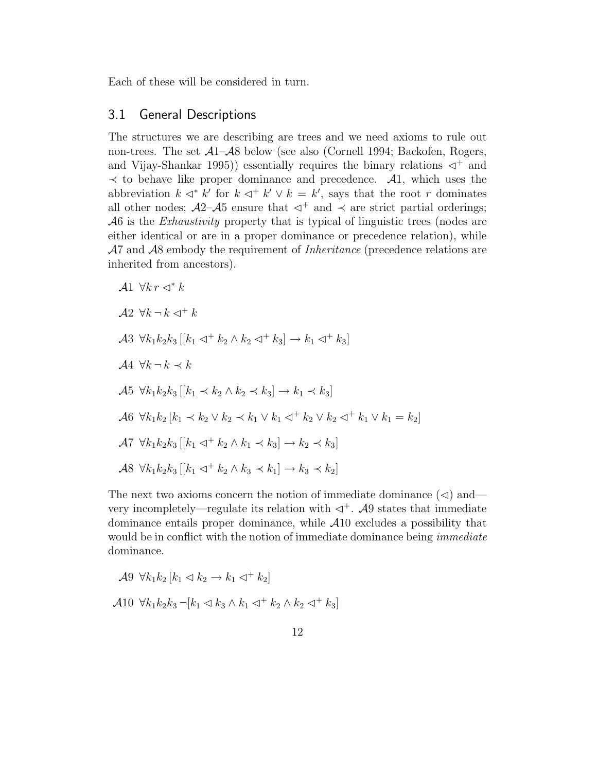Each of these will be considered in turn.

### 3.1 General Descriptions

The structures we are describing are trees and we need axioms to rule out non-trees. The set A1–A8 below (see also (Cornell 1994; Backofen, Rogers, and Vijay-Shankar 1995)) essentially requires the binary relations  $\triangleleft^+$  and  $\prec$  to behave like proper dominance and precedence.  $\mathcal{A}1$ , which uses the abbreviation  $k \triangleleft^* k'$  for  $k \triangleleft^* k' \vee k = k'$ , says that the root r dominates all other nodes;  $\mathcal{A}2-\mathcal{A}5$  ensure that  $\lhd^+$  and  $\lhd$  are strict partial orderings; A6 is the *Exhaustivity* property that is typical of linguistic trees (nodes are either identical or are in a proper dominance or precedence relation), while A7 and A8 embody the requirement of *Inheritance* (precedence relations are inherited from ancestors).

$$
A1 \forall k r \lhd^* k
$$
  
\n
$$
A2 \forall k \lnot k \lnot k
$$
  
\n
$$
A3 \forall k_1 k_2 k_3 [[k_1 \lnot^+ k_2 \land k_2 \lnot^+ k_3] \to k_1 \lnot^+ k_3]
$$
  
\n
$$
A4 \forall k \lnot k \prec k
$$
  
\n
$$
A5 \forall k_1 k_2 k_3 [[k_1 \lnot k_2 \land k_2 \lnot k_3] \to k_1 \lnot k_3]
$$
  
\n
$$
A6 \forall k_1 k_2 [k_1 \lnot k_2 \lor k_2 \lnot k_1 \lor k_1 \lnot^+ k_2 \lor k_2 \lnot^+ k_1 \lor k_1 = k_2]
$$
  
\n
$$
A7 \forall k_1 k_2 k_3 [[k_1 \lnot^+ k_2 \land k_1 \lnot k_3] \to k_2 \lnot k_3]
$$
  
\n
$$
A8 \forall k_1 k_2 k_3 [[k_1 \lnot^+ k_2 \land k_3 \lnot k_1] \to k_3 \lnot k_2]
$$

The next two axioms concern the notion of immediate dominance  $(\triangleleft)$  and very incompletely—regulate its relation with  $\triangleleft^+$ . A9 states that immediate dominance entails proper dominance, while A10 excludes a possibility that would be in conflict with the notion of immediate dominance being *immediate* dominance.

$$
\mathcal{A}9 \ \forall k_1 k_2 \ [k_1 \lhd k_2 \rightarrow k_1 \lhd^+ k_2]
$$

$$
\mathcal{A}10 \ \forall k_1 k_2 k_3 \lnot [k_1 \lhd k_3 \land k_1 \lhd^+ k_2 \land k_2 \lhd^+ k_3]
$$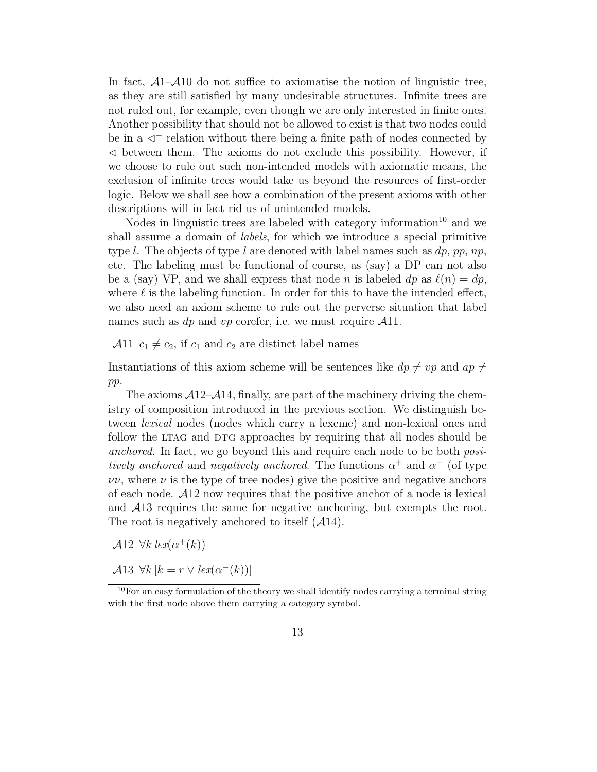In fact,  $\mathcal{A}1-\mathcal{A}10$  do not suffice to axiomatise the notion of linguistic tree, as they are still satisfied by many undesirable structures. Infinite trees are not ruled out, for example, even though we are only interested in finite ones. Another possibility that should not be allowed to exist is that two nodes could be in a  $\leq^+$  relation without there being a finite path of nodes connected by  $\leq$  between them. The axioms do not exclude this possibility. However, if we choose to rule out such non-intended models with axiomatic means, the exclusion of infinite trees would take us beyond the resources of first-order logic. Below we shall see how a combination of the present axioms with other descriptions will in fact rid us of unintended models.

Nodes in linguistic trees are labeled with category information<sup>10</sup> and we shall assume a domain of *labels*, for which we introduce a special primitive type l. The objects of type l are denoted with label names such as  $dp$ , pp, np, etc. The labeling must be functional of course, as (say) a DP can not also be a (say) VP, and we shall express that node n is labeled dp as  $\ell(n) = dp$ , where  $\ell$  is the labeling function. In order for this to have the intended effect, we also need an axiom scheme to rule out the perverse situation that label names such as dp and vp corefer, i.e. we must require  $\mathcal{A}11$ .

A11  $c_1 \neq c_2$ , if  $c_1$  and  $c_2$  are distinct label names

Instantiations of this axiom scheme will be sentences like  $dp \neq vp$  and  $ap \neq$ pp.

The axioms  $\mathcal{A}12-\mathcal{A}14$ , finally, are part of the machinery driving the chemistry of composition introduced in the previous section. We distinguish between *lexical* nodes (nodes which carry a lexeme) and non-lexical ones and follow the LTAG and DTG approaches by requiring that all nodes should be *anchored*. In fact, we go beyond this and require each node to be both *positively anchored* and *negatively anchored*. The functions  $\alpha^+$  and  $\alpha^-$  (of type  $\nu$ ν, where  $\nu$  is the type of tree nodes) give the positive and negative anchors of each node. A12 now requires that the positive anchor of a node is lexical and A13 requires the same for negative anchoring, but exempts the root. The root is negatively anchored to itself  $(A14)$ .

A12  $\forall k \, \text{lex}(\alpha^+(k))$ 

A13  $\forall k \left[ k = r \vee \text{lex}(\alpha^{-}(k)) \right]$ 

 $10$ For an easy formulation of the theory we shall identify nodes carrying a terminal string with the first node above them carrying a category symbol.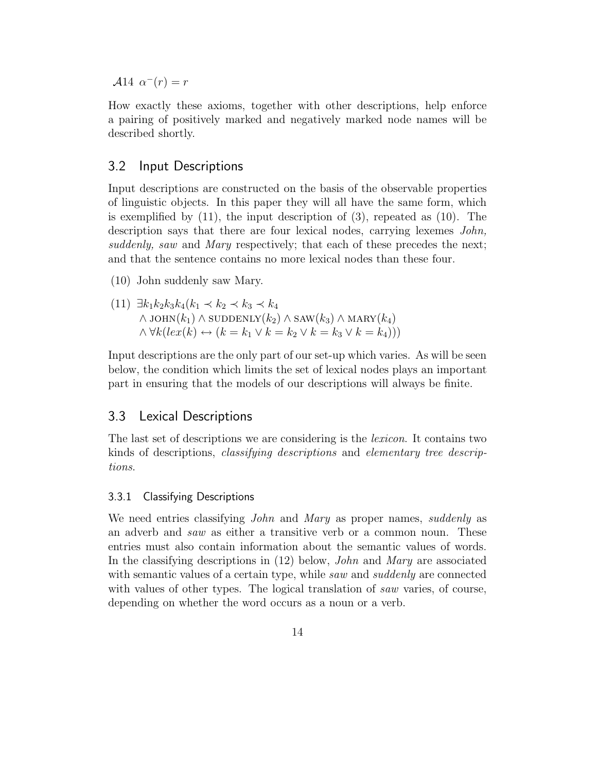$\mathcal{A}14 \ \alpha^{-}(r) = r$ 

How exactly these axioms, together with other descriptions, help enforce a pairing of positively marked and negatively marked node names will be described shortly.

### 3.2 Input Descriptions

Input descriptions are constructed on the basis of the observable properties of linguistic objects. In this paper they will all have the same form, which is exemplified by  $(11)$ , the input description of  $(3)$ , repeated as  $(10)$ . The description says that there are four lexical nodes, carrying lexemes *John, suddenly, saw* and *Mary* respectively; that each of these precedes the next; and that the sentence contains no more lexical nodes than these four.

(10) John suddenly saw Mary.

(11) 
$$
\exists k_1 k_2 k_3 k_4 (k_1 \prec k_2 \prec k_3 \prec k_4
$$
  
\n $\land$  JOHN $(k_1) \land$  SUPDENLY $(k_2) \land$ SAW $(k_3) \land$  MARK $(k_4)$   
\n $\land \forall k (lex(k) \leftrightarrow (k = k_1 \lor k = k_2 \lor k = k_3 \lor k = k_4)))$ 

Input descriptions are the only part of our set-up which varies. As will be seen below, the condition which limits the set of lexical nodes plays an important part in ensuring that the models of our descriptions will always be finite.

### 3.3 Lexical Descriptions

The last set of descriptions we are considering is the *lexicon*. It contains two kinds of descriptions, *classifying descriptions* and *elementary tree descriptions*.

#### 3.3.1 Classifying Descriptions

We need entries classifying *John* and *Mary* as proper names, *suddenly* as an adverb and *saw* as either a transitive verb or a common noun. These entries must also contain information about the semantic values of words. In the classifying descriptions in (12) below, *John* and *Mary* are associated with semantic values of a certain type, while *saw* and *suddenly* are connected with values of other types. The logical translation of *saw* varies, of course, depending on whether the word occurs as a noun or a verb.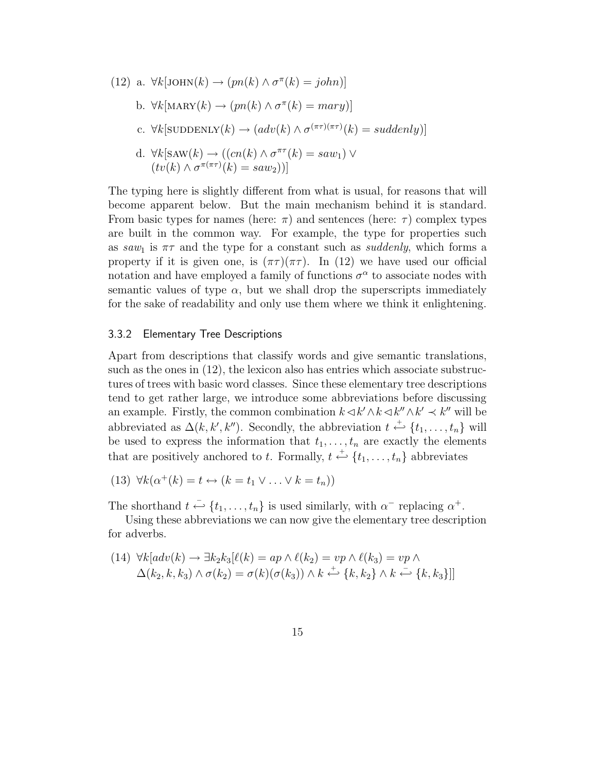(12) a. 
$$
\forall k
$$
[JOHN( $k$ )  $\rightarrow$  ( $pn(k) \land \sigma^{\pi}(k) = john)$ ]  
\nb.  $\forall k$ [MARY( $k$ )  $\rightarrow$  ( $pn(k) \land \sigma^{\pi}(k) = mary$ )]  
\nc.  $\forall k$ [SUBDENLY( $k$ )  $\rightarrow$  ( $adv(k) \land \sigma^{(\pi\tau)(\pi\tau)}(k) = suddenly$ )]  
\nd.  $\forall k$ [SAW( $k$ )  $\rightarrow$  (( $cn(k) \land \sigma^{\pi\tau}(k) = saw_1$ )  $\lor$   
\n( $tv(k) \land \sigma^{\pi(\pi\tau)}(k) = saw_2$ ))]

The typing here is slightly different from what is usual, for reasons that will become apparent below. But the main mechanism behind it is standard. From basic types for names (here:  $\pi$ ) and sentences (here:  $\tau$ ) complex types are built in the common way. For example, the type for properties such as  $saw_1$  is  $\pi\tau$  and the type for a constant such as *suddenly*, which forms a property if it is given one, is  $(\pi \tau)(\pi \tau)$ . In (12) we have used our official notation and have employed a family of functions  $\sigma^{\alpha}$  to associate nodes with semantic values of type  $\alpha$ , but we shall drop the superscripts immediately for the sake of readability and only use them where we think it enlightening.

#### 3.3.2 Elementary Tree Descriptions

Apart from descriptions that classify words and give semantic translations, such as the ones in (12), the lexicon also has entries which associate substructures of trees with basic word classes. Since these elementary tree descriptions tend to get rather large, we introduce some abbreviations before discussing an example. Firstly, the common combination  $k \leq k' \wedge k \leq k'' \wedge k' \leq k''$  will be abbreviated as  $\Delta(k, k', k'')$ . Secondly, the abbreviation  $t \stackrel{+}{\hookleftarrow} \{t_1, \ldots, t_n\}$  will be used to express the information that  $t_1, \ldots, t_n$  are exactly the elements that are positively anchored to t. Formally,  $t \stackrel{+}{\leftrightarrow} \{t_1, \ldots, t_n\}$  abbreviates

(13) 
$$
\forall k(\alpha^+(k) = t \leftrightarrow (k = t_1 \vee \ldots \vee k = t_n))
$$

The shorthand  $t \stackrel{-}{\leftrightarrow} \{t_1, \ldots, t_n\}$  is used similarly, with  $\alpha^-$  replacing  $\alpha^+$ .

Using these abbreviations we can now give the elementary tree description for adverbs.

$$
(14) \ \forall k[adv(k) \rightarrow \exists k_2 k_3 [\ell(k) = ap \land \ell(k_2) = vp \land \ell(k_3) = vp \land \Delta(k_2, k, k_3) \land \sigma(k_2) = \sigma(k)(\sigma(k_3)) \land k \stackrel{\iota}{\leftarrow} \{k, k_2\} \land k \stackrel{\iota}{\leftarrow} \{k, k_3\}]]
$$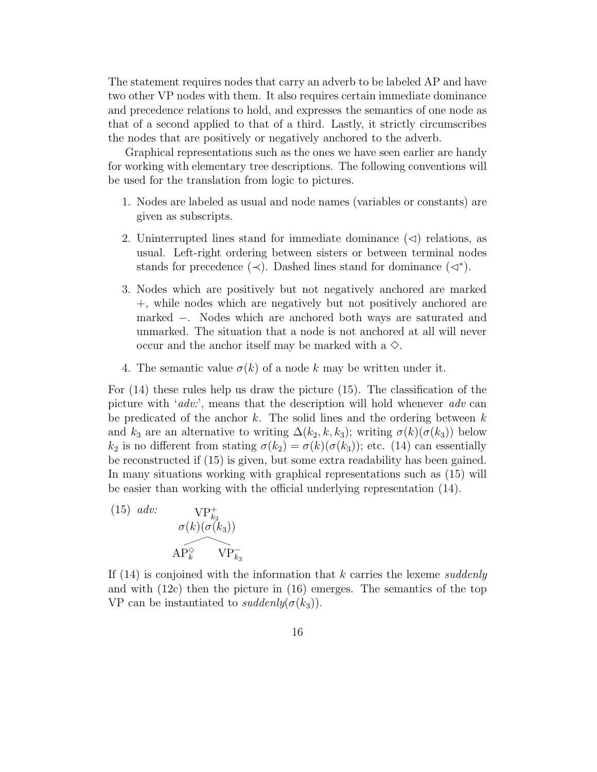The statement requires nodes that carry an adverb to be labeled AP and have two other VP nodes with them. It also requires certain immediate dominance and precedence relations to hold, and expresses the semantics of one node as that of a second applied to that of a third. Lastly, it strictly circumscribes the nodes that are positively or negatively anchored to the adverb.

Graphical representations such as the ones we have seen earlier are handy for working with elementary tree descriptions. The following conventions will be used for the translation from logic to pictures.

- 1. Nodes are labeled as usual and node names (variables or constants) are given as subscripts.
- 2. Uninterrupted lines stand for immediate dominance  $(\triangleleft)$  relations, as usual. Left-right ordering between sisters or between terminal nodes stands for precedence  $(\prec)$ . Dashed lines stand for dominance  $(\lhd^*)$ .
- 3. Nodes which are positively but not negatively anchored are marked +, while nodes which are negatively but not positively anchored are marked −. Nodes which are anchored both ways are saturated and unmarked. The situation that a node is not anchored at all will never occur and the anchor itself may be marked with a  $\Diamond$ .
- 4. The semantic value  $\sigma(k)$  of a node k may be written under it.

For (14) these rules help us draw the picture (15). The classification of the picture with '*adv:*', means that the description will hold whenever *adv* can be predicated of the anchor  $k$ . The solid lines and the ordering between  $k$ and  $k_3$  are an alternative to writing  $\Delta(k_2, k, k_3)$ ; writing  $\sigma(k)(\sigma(k_3))$  below  $k_2$  is no different from stating  $\sigma(k_2) = \sigma(k)(\sigma(k_3))$ ; etc. (14) can essentially be reconstructed if (15) is given, but some extra readability has been gained. In many situations working with graphical representations such as (15) will be easier than working with the official underlying representation (14).

(15) *adv*:  
\n
$$
\sigma(k)(\sigma(k_3))
$$
\n
$$
AP_k^{\diamond}
$$
\n
$$
VP_{k_3}^-
$$

If (14) is conjoined with the information that k carries the lexeme *suddenly* and with (12c) then the picture in (16) emerges. The semantics of the top VP can be instantiated to *suddenly*( $\sigma(k_3)$ ).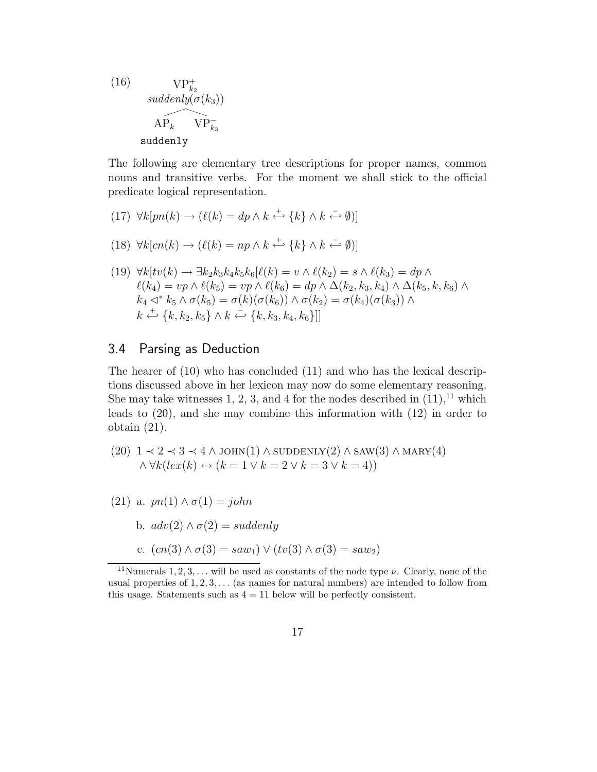(16) 
$$
\mathbf{VP}_{k_2}^+
$$
  
\n*suddenly* $(\sigma(k_3))$   
\n
$$
\widehat{\mathbf{AP}_k} \quad \mathbf{VP}_{k_3}^-
$$
  
\n**suddenly**

The following are elementary tree descriptions for proper names, common nouns and transitive verbs. For the moment we shall stick to the official predicate logical representation.

 $(17) \ \forall k[pn(k) \rightarrow (\ell(k) = dp \land k \stackrel{+}{\leftarrow} \{k\} \land k \stackrel{-}{\leftarrow} \emptyset)]$ 

(18) 
$$
\forall k [cn(k) \rightarrow (\ell(k) = np \land k \stackrel{+}{\leftarrow} \{k\} \land k \stackrel{-}{\leftarrow} \emptyset)]
$$

(19) 
$$
\forall k[tv(k) \rightarrow \exists k_2 k_3 k_4 k_5 k_6 [\ell(k) = v \land \ell(k_2) = s \land \ell(k_3) = dp \land
$$

$$
\ell(k_4) = vp \land \ell(k_5) = vp \land \ell(k_6) = dp \land \Delta(k_2, k_3, k_4) \land \Delta(k_5, k, k_6) \land
$$

$$
k_4 \triangleleft^* k_5 \land \sigma(k_5) = \sigma(k)(\sigma(k_6)) \land \sigma(k_2) = \sigma(k_4)(\sigma(k_3)) \land
$$

$$
k \stackrel{\leftarrow}{\leftrightarrow} \{k, k_2, k_5\} \land k \stackrel{\leftarrow}{\leftrightarrow} \{k, k_3, k_4, k_6\}]
$$

### 3.4 Parsing as Deduction

The hearer of (10) who has concluded (11) and who has the lexical descriptions discussed above in her lexicon may now do some elementary reasoning. She may take witnesses 1, 2, 3, and 4 for the nodes described in  $(11)$ ,<sup>11</sup> which leads to (20), and she may combine this information with (12) in order to obtain (21).

(20) 
$$
1 \prec 2 \prec 3 \prec 4 \land \text{JOHN}(1) \land \text{SUDDENLY}(2) \land \text{SAW}(3) \land \text{MARY}(4)
$$
  
  $\land \forall k (lex(k) \leftrightarrow (k = 1 \lor k = 2 \lor k = 3 \lor k = 4))$ 

(21) a.  $pn(1) \wedge \sigma(1) = john$ 

b. 
$$
adv(2) \wedge \sigma(2) = suddenly
$$

c. 
$$
(cn(3) \land \sigma(3) = saw_1) \lor (tv(3) \land \sigma(3) = saw_2)
$$

<sup>&</sup>lt;sup>11</sup>Numerals 1, 2, 3, ... will be used as constants of the node type  $\nu$ . Clearly, none of the usual properties of  $1, 2, 3, \ldots$  (as names for natural numbers) are intended to follow from this usage. Statements such as  $4 = 11$  below will be perfectly consistent.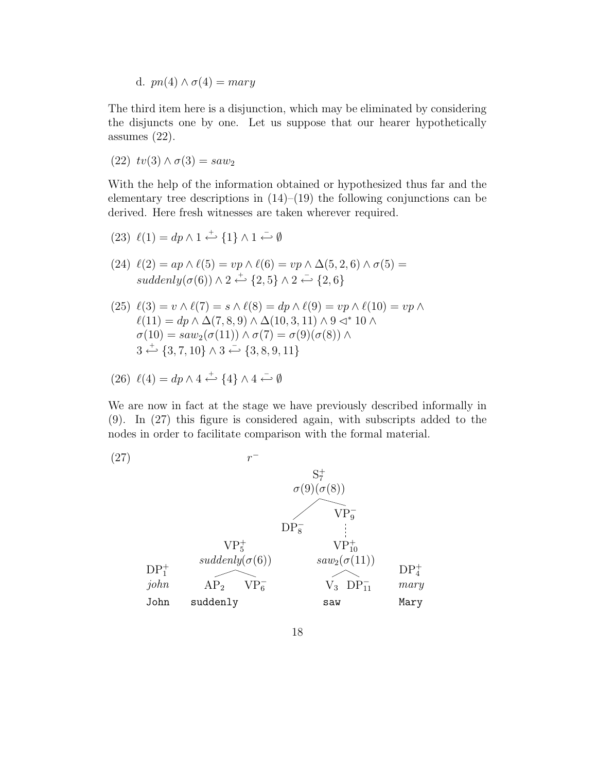d.  $pn(4) \wedge \sigma(4) = mary$ 

The third item here is a disjunction, which may be eliminated by considering the disjuncts one by one. Let us suppose that our hearer hypothetically assumes (22).

(22)  $tv(3) \wedge \sigma(3) = saw_2$ 

With the help of the information obtained or hypothesized thus far and the elementary tree descriptions in  $(14)$ – $(19)$  the following conjunctions can be derived. Here fresh witnesses are taken wherever required.

(23) 
$$
\ell(1) = dp \wedge 1 \stackrel{+}{\leftarrow} \{1\} \wedge 1 \stackrel{-}{\leftarrow} \emptyset
$$

- (24)  $\ell(2) = ap \wedge \ell(5) = vp \wedge \ell(6) = vp \wedge \Delta(5, 2, 6) \wedge \sigma(5) =$  $suddenly(\sigma(6)) \wedge 2 \stackrel{+}{\leftarrow} \{2,5\} \wedge 2 \stackrel{-}{\leftarrow} \{2,6\}$
- (25)  $\ell(3) = v \wedge \ell(7) = s \wedge \ell(8) = dp \wedge \ell(9) = vp \wedge \ell(10) = vp \wedge$  $\ell(11) = dp \wedge \Delta(7,8,9) \wedge \Delta(10,3,11) \wedge 9 \triangleleft^* 10 \wedge$  $\sigma(10) = saw_2(\sigma(11)) \wedge \sigma(7) = \sigma(9)(\sigma(8))$  $3 \stackrel{+}{\leftarrow} \{3, 7, 10\} \wedge 3 \stackrel{-}{\leftarrow} \{3, 8, 9, 11\}$

(26) 
$$
\ell(4) = dp \wedge 4 \stackrel{+}{\longleftrightarrow} \{4\} \wedge 4 \stackrel{-}{\longleftrightarrow} \emptyset
$$

We are now in fact at the stage we have previously described informally in (9). In (27) this figure is considered again, with subscripts added to the nodes in order to facilitate comparison with the formal material.

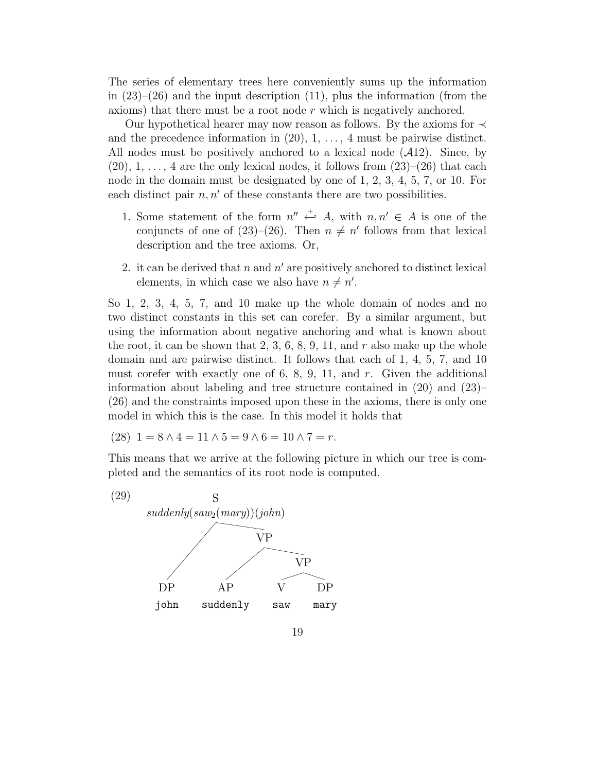The series of elementary trees here conveniently sums up the information in  $(23)$ – $(26)$  and the input description  $(11)$ , plus the information (from the axioms) that there must be a root node  $r$  which is negatively anchored.

Our hypothetical hearer may now reason as follows. By the axioms for  $\prec$ and the precedence information in  $(20)$ ,  $1, \ldots, 4$  must be pairwise distinct. All nodes must be positively anchored to a lexical node  $(A12)$ . Since, by  $(20), 1, \ldots, 4$  are the only lexical nodes, it follows from  $(23)$ – $(26)$  that each node in the domain must be designated by one of 1, 2, 3, 4, 5, 7, or 10. For each distinct pair  $n, n'$  of these constants there are two possibilities.

- 1. Some statement of the form  $n'' \stackrel{+}{\leftarrow} A$ , with  $n, n' \in A$  is one of the conjuncts of one of  $(23)$ – $(26)$ . Then  $n \neq n'$  follows from that lexical description and the tree axioms. Or,
- 2. it can be derived that  $n$  and  $n'$  are positively anchored to distinct lexical elements, in which case we also have  $n \neq n'$ .

So 1, 2, 3, 4, 5, 7, and 10 make up the whole domain of nodes and no two distinct constants in this set can corefer. By a similar argument, but using the information about negative anchoring and what is known about the root, it can be shown that  $2, 3, 6, 8, 9, 11$ , and r also make up the whole domain and are pairwise distinct. It follows that each of 1, 4, 5, 7, and 10 must corefer with exactly one of 6, 8, 9, 11, and  $r$ . Given the additional information about labeling and tree structure contained in  $(20)$  and  $(23)$ – (26) and the constraints imposed upon these in the axioms, there is only one model in which this is the case. In this model it holds that

$$
(28) \ \ 1 = 8 \land 4 = 11 \land 5 = 9 \land 6 = 10 \land 7 = r.
$$

This means that we arrive at the following picture in which our tree is completed and the semantics of its root node is computed.

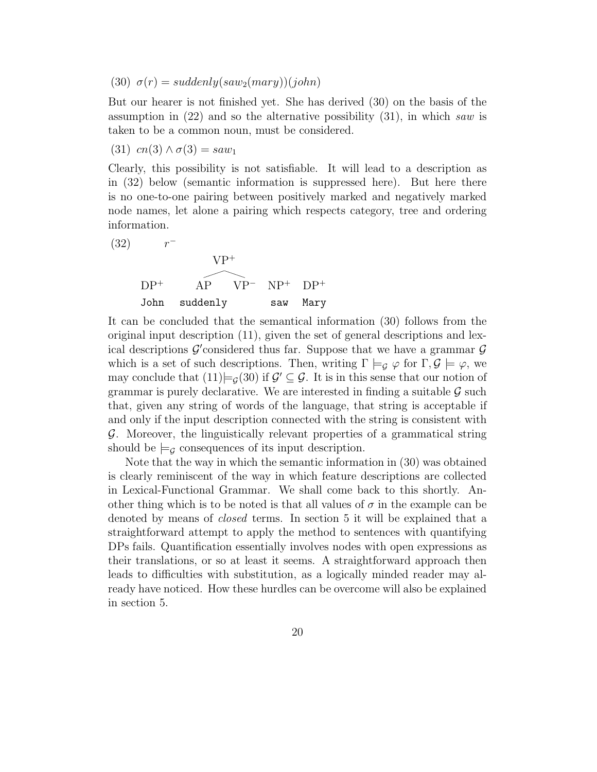#### (30)  $\sigma(r) = suddenly(saw_2(mary))(john)$

But our hearer is not finished yet. She has derived (30) on the basis of the assumption in (22) and so the alternative possibility (31), in which *saw* is taken to be a common noun, must be considered.

(31)  $cn(3) \wedge \sigma(3) = saw_1$ 

Clearly, this possibility is not satisfiable. It will lead to a description as in (32) below (semantic information is suppressed here). But here there is no one-to-one pairing between positively marked and negatively marked node names, let alone a pairing which respects category, tree and ordering information.

(32) 
$$
r^-
$$
  
\n $VP^+$   
\n $DP^+$   
\nJohn suddenly saw Mary

It can be concluded that the semantical information (30) follows from the original input description (11), given the set of general descriptions and lexical descriptions  $\mathcal{G}'$  considered thus far. Suppose that we have a grammar  $\mathcal{G}$ which is a set of such descriptions. Then, writing  $\Gamma \models_q \varphi$  for  $\Gamma, \mathcal{G} \models \varphi$ , we may conclude that  $(11) \models_{\mathcal{G}} (30)$  if  $\mathcal{G} \subseteq \mathcal{G}$ . It is in this sense that our notion of grammar is purely declarative. We are interested in finding a suitable  $\mathcal G$  such that, given any string of words of the language, that string is acceptable if and only if the input description connected with the string is consistent with G. Moreover, the linguistically relevant properties of a grammatical string should be  $\models$  consequences of its input description.

Note that the way in which the semantic information in (30) was obtained is clearly reminiscent of the way in which feature descriptions are collected in Lexical-Functional Grammar. We shall come back to this shortly. Another thing which is to be noted is that all values of  $\sigma$  in the example can be denoted by means of *closed* terms. In section 5 it will be explained that a straightforward attempt to apply the method to sentences with quantifying DPs fails. Quantification essentially involves nodes with open expressions as their translations, or so at least it seems. A straightforward approach then leads to difficulties with substitution, as a logically minded reader may already have noticed. How these hurdles can be overcome will also be explained in section 5.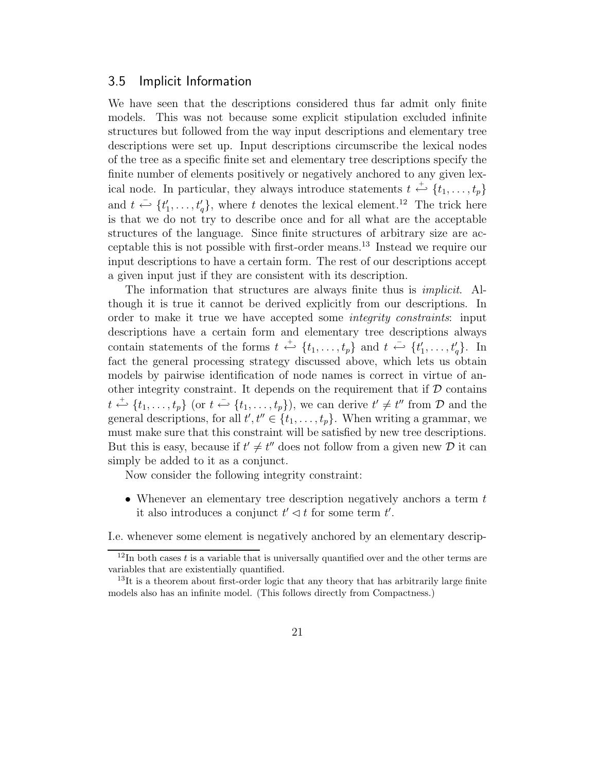#### 3.5 Implicit Information

We have seen that the descriptions considered thus far admit only finite models. This was not because some explicit stipulation excluded infinite structures but followed from the way input descriptions and elementary tree descriptions were set up. Input descriptions circumscribe the lexical nodes of the tree as a specific finite set and elementary tree descriptions specify the finite number of elements positively or negatively anchored to any given lexical node. In particular, they always introduce statements  $t \stackrel{\text{+}}{\leftrightarrow} \{t_1, \ldots, t_p\}$ and  $t \stackrel{\sim}{\leftarrow} \{t'_1, \ldots, t'_q\}$ , where t denotes the lexical element.<sup>12</sup> The trick here is that we do not try to describe once and for all what are the acceptable structures of the language. Since finite structures of arbitrary size are acceptable this is not possible with first-order means.<sup>13</sup> Instead we require our input descriptions to have a certain form. The rest of our descriptions accept a given input just if they are consistent with its description.

The information that structures are always finite thus is *implicit*. Although it is true it cannot be derived explicitly from our descriptions. In order to make it true we have accepted some *integrity constraints*: input descriptions have a certain form and elementary tree descriptions always contain statements of the forms  $t \stackrel{+}{\leftarrow} \{t_1, \ldots, t_p\}$  and  $t \stackrel{-}{\leftarrow} \{t'_1, \ldots, t'_q\}$ . In fact the general processing strategy discussed above, which lets us obtain models by pairwise identification of node names is correct in virtue of another integrity constraint. It depends on the requirement that if  $D$  contains  $t \stackrel{+}{\hookleftarrow} \{t_1,\ldots,t_p\}$  (or  $t \stackrel{-}{\hookleftarrow} \{t_1,\ldots,t_p\}$ ), we can derive  $t' \neq t''$  from  $\mathcal D$  and the general descriptions, for all  $t', t'' \in \{t_1, \ldots, t_p\}$ . When writing a grammar, we must make sure that this constraint will be satisfied by new tree descriptions. But this is easy, because if  $t' \neq t''$  does not follow from a given new D it can simply be added to it as a conjunct.

Now consider the following integrity constraint:

• Whenever an elementary tree description negatively anchors a term  $t$ it also introduces a conjunct  $t' \lhd t$  for some term  $t'$ .

I.e. whenever some element is negatively anchored by an elementary descrip-

 $12$ In both cases t is a variable that is universally quantified over and the other terms are variables that are existentially quantified.

 $13$ It is a theorem about first-order logic that any theory that has arbitrarily large finite models also has an infinite model. (This follows directly from Compactness.)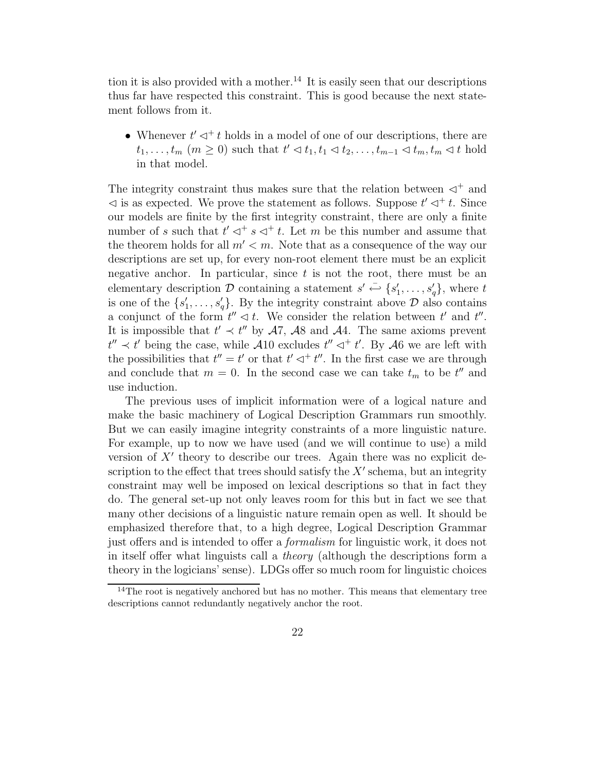tion it is also provided with a mother.<sup>14</sup> It is easily seen that our descriptions thus far have respected this constraint. This is good because the next statement follows from it.

• Whenever  $t' \lhd^+ t$  holds in a model of one of our descriptions, there are  $t_1, \ldots, t_m \ (m \geq 0)$  such that  $t' \lhd t_1, t_1 \lhd t_2, \ldots, t_{m-1} \lhd t_m, t_m \lhd t$  hold in that model.

The integrity constraint thus makes sure that the relation between  $\lhd^+$  and  $\lhd$  is as expected. We prove the statement as follows. Suppose  $t' \lhd^+ t$ . Since our models are finite by the first integrity constraint, there are only a finite number of s such that  $t' \lhd^+ s \lhd^+ t$ . Let m be this number and assume that the theorem holds for all  $m' < m$ . Note that as a consequence of the way our descriptions are set up, for every non-root element there must be an explicit negative anchor. In particular, since  $t$  is not the root, there must be an elementary description  $\mathcal D$  containing a statement  $s' \stackrel{\sim}{\leftarrow} \{s'_1, \ldots, s'_q\}$ , where t is one of the  $\{s'_1, \ldots, s'_q\}$ . By the integrity constraint above  $\mathcal D$  also contains a conjunct of the form  $t'' \lhd t$ . We consider the relation between  $t'$  and  $t''$ . It is impossible that  $t' \prec t''$  by  $\mathcal{A}7$ ,  $\mathcal{A}8$  and  $\mathcal{A}4$ . The same axioms prevent  $t'' \prec t'$  being the case, while  $\mathcal{A}10$  excludes  $t'' \lhd^+ t'$ . By  $\mathcal{A}6$  we are left with the possibilities that  $t'' = t'$  or that  $t' \triangleleft^+ t''$ . In the first case we are through and conclude that  $m = 0$ . In the second case we can take  $t_m$  to be  $t''$  and use induction.

The previous uses of implicit information were of a logical nature and make the basic machinery of Logical Description Grammars run smoothly. But we can easily imagine integrity constraints of a more linguistic nature. For example, up to now we have used (and we will continue to use) a mild version of  $X'$  theory to describe our trees. Again there was no explicit description to the effect that trees should satisfy the  $X'$  schema, but an integrity constraint may well be imposed on lexical descriptions so that in fact they do. The general set-up not only leaves room for this but in fact we see that many other decisions of a linguistic nature remain open as well. It should be emphasized therefore that, to a high degree, Logical Description Grammar just offers and is intended to offer a *formalism* for linguistic work, it does not in itself offer what linguists call a *theory* (although the descriptions form a theory in the logicians' sense). LDGs offer so much room for linguistic choices

<sup>&</sup>lt;sup>14</sup>The root is negatively anchored but has no mother. This means that elementary tree descriptions cannot redundantly negatively anchor the root.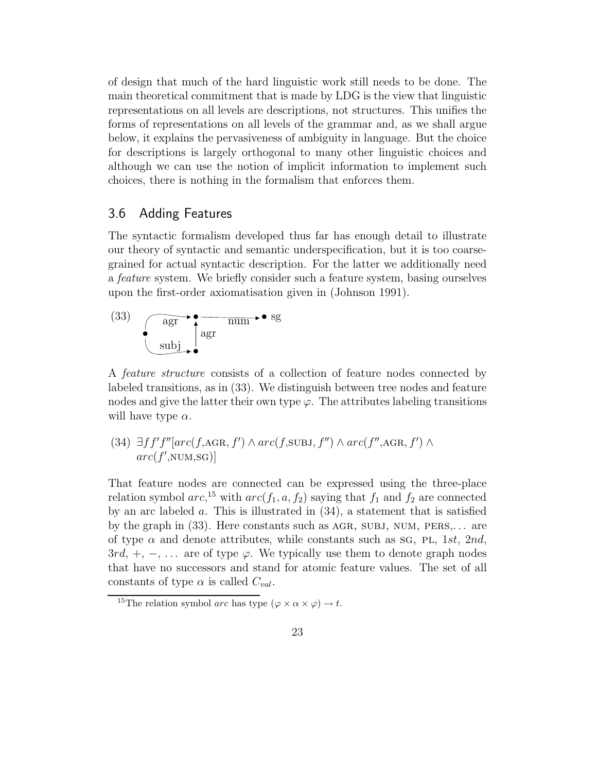of design that much of the hard linguistic work still needs to be done. The main theoretical commitment that is made by LDG is the view that linguistic representations on all levels are descriptions, not structures. This unifies the forms of representations on all levels of the grammar and, as we shall argue below, it explains the pervasiveness of ambiguity in language. But the choice for descriptions is largely orthogonal to many other linguistic choices and although we can use the notion of implicit information to implement such choices, there is nothing in the formalism that enforces them.

### 3.6 Adding Features

The syntactic formalism developed thus far has enough detail to illustrate our theory of syntactic and semantic underspecification, but it is too coarsegrained for actual syntactic description. For the latter we additionally need a *feature* system. We briefly consider such a feature system, basing ourselves upon the first-order axiomatisation given in (Johnson 1991).

$$
\begin{array}{c}\n \text{(33)} \\
 \text{as } \mathbf{r} \\
 \text{subj}\n \end{array}
$$

A *feature structure* consists of a collection of feature nodes connected by labeled transitions, as in (33). We distinguish between tree nodes and feature nodes and give the latter their own type  $\varphi$ . The attributes labeling transitions will have type  $\alpha$ .

### (34)  $\exists ff'f''[arc(f, AGR, f') \wedge arc(f, SUBJ, f'') \wedge arc(f'', AGR, f') \wedge$  $arc(f', \text{NUM}, \text{SG})]$

That feature nodes are connected can be expressed using the three-place relation symbol  $arc$ <sup>15</sup>, with  $arc(f_1, a, f_2)$  saying that  $f_1$  and  $f_2$  are connected by an arc labeled a. This is illustrated in  $(34)$ , a statement that is satisfied by the graph in  $(33)$ . Here constants such as AGR, SUBJ, NUM, PERS,... are of type  $\alpha$  and denote attributes, while constants such as sq, PL, 1st, 2nd,  $3rd, +, -, \ldots$  are of type  $\varphi$ . We typically use them to denote graph nodes that have no successors and stand for atomic feature values. The set of all constants of type  $\alpha$  is called  $C_{val}$ .

<sup>&</sup>lt;sup>15</sup>The relation symbol *arc* has type  $(\varphi \times \alpha \times \varphi) \to t$ .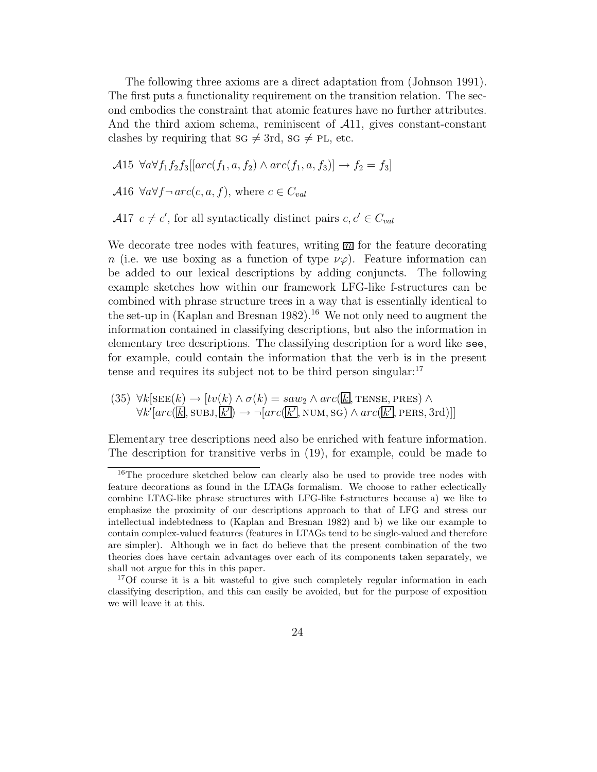The following three axioms are a direct adaptation from (Johnson 1991). The first puts a functionality requirement on the transition relation. The second embodies the constraint that atomic features have no further attributes. And the third axiom schema, reminiscent of  $\mathcal{A}11$ , gives constant-constant clashes by requiring that sg  $\neq$  3rd, sg  $\neq$  PL, etc.

A15  $\forall a \forall f_1 f_2 f_3[[arc(f_1, a, f_2) \land arc(f_1, a, f_3)] \rightarrow f_2 = f_3]$ 

A16  $\forall a \forall f \neg \text{arc}(c, a, f)$ , where  $c \in C_{val}$ 

 $\mathcal{A}$ 17  $c \neq c'$ , for all syntactically distinct pairs  $c, c' \in C_{val}$ 

We decorate tree nodes with features, writing  $\overline{m}$  for the feature decorating n (i.e. we use boxing as a function of type  $\nu\varphi$ ). Feature information can be added to our lexical descriptions by adding conjuncts. The following example sketches how within our framework LFG-like f-structures can be combined with phrase structure trees in a way that is essentially identical to the set-up in (Kaplan and Bresnan 1982).<sup>16</sup> We not only need to augment the information contained in classifying descriptions, but also the information in elementary tree descriptions. The classifying description for a word like see, for example, could contain the information that the verb is in the present tense and requires its subject not to be third person singular: $17$ 

(35) 
$$
\forall k[\text{SEE}(k) \rightarrow [tv(k) \land \sigma(k) = saw_2 \land arc(\overline{k}], \text{TENSE}, \text{PRES}) \land \forall k'[arc(\overline{k}], \text{SUBJ}, \overline{k'}] \rightarrow \neg [arc(\overline{k'}], \text{NUM}, \text{SG}) \land arc(\overline{k'}], \text{PERS}, 3\text{rd})]
$$

Elementary tree descriptions need also be enriched with feature information. The description for transitive verbs in (19), for example, could be made to

<sup>&</sup>lt;sup>16</sup>The procedure sketched below can clearly also be used to provide tree nodes with feature decorations as found in the LTAGs formalism. We choose to rather eclectically combine LTAG-like phrase structures with LFG-like f-structures because a) we like to emphasize the proximity of our descriptions approach to that of LFG and stress our intellectual indebtedness to (Kaplan and Bresnan 1982) and b) we like our example to contain complex-valued features (features in LTAGs tend to be single-valued and therefore are simpler). Although we in fact do believe that the present combination of the two theories does have certain advantages over each of its components taken separately, we shall not argue for this in this paper.

<sup>&</sup>lt;sup>17</sup>Of course it is a bit wasteful to give such completely regular information in each classifying description, and this can easily be avoided, but for the purpose of exposition we will leave it at this.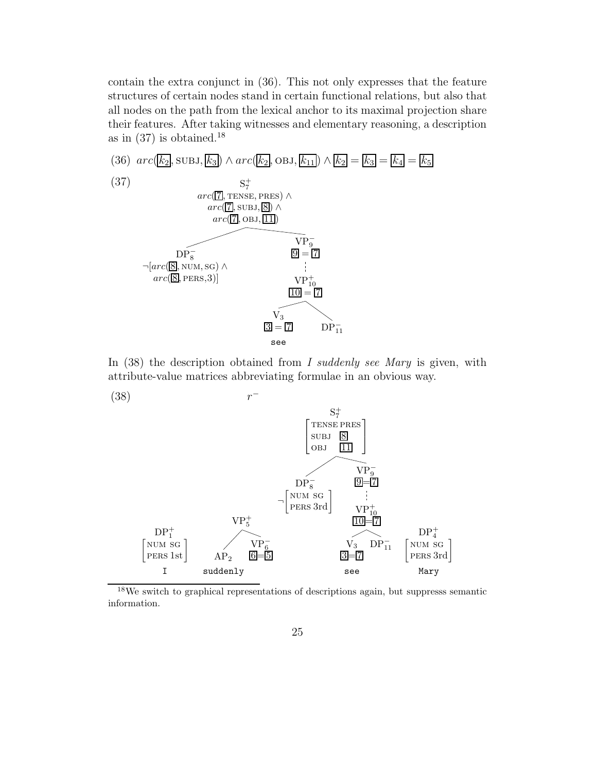contain the extra conjunct in (36). This not only expresses that the feature structures of certain nodes stand in certain functional relations, but also that all nodes on the path from the lexical anchor to its maximal projection share their features. After taking witnesses and elementary reasoning, a description as in  $(37)$  is obtained.<sup>18</sup>



In (38) the description obtained from *I suddenly see Mary* is given, with attribute-value matrices abbreviating formulae in an obvious way.



 $^{18}\mathrm{We}$  switch to graphical representations of descriptions again, but suppresss semantic information.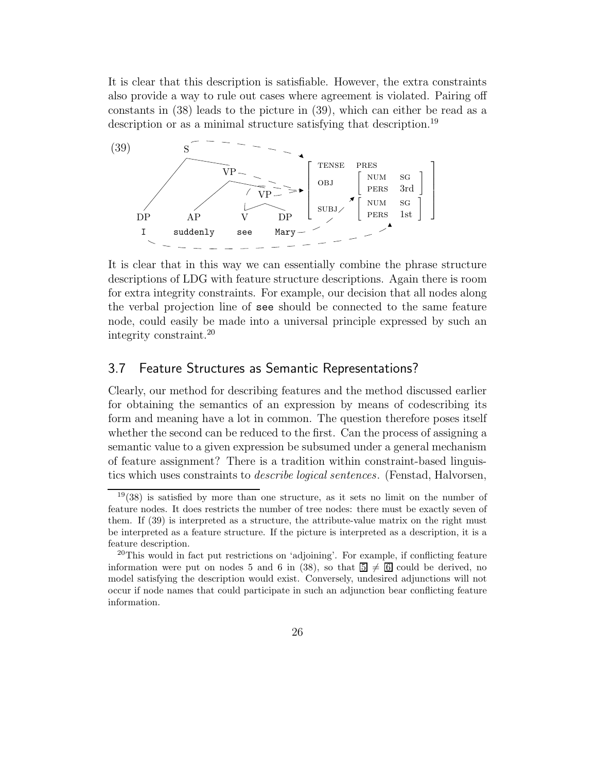It is clear that this description is satisfiable. However, the extra constraints also provide a way to rule out cases where agreement is violated. Pairing off constants in (38) leads to the picture in (39), which can either be read as a description or as a minimal structure satisfying that description.<sup>19</sup>



It is clear that in this way we can essentially combine the phrase structure descriptions of LDG with feature structure descriptions. Again there is room for extra integrity constraints. For example, our decision that all nodes along the verbal projection line of see should be connected to the same feature node, could easily be made into a universal principle expressed by such an integrity constraint.<sup>20</sup>

### 3.7 Feature Structures as Semantic Representations?

Clearly, our method for describing features and the method discussed earlier for obtaining the semantics of an expression by means of codescribing its form and meaning have a lot in common. The question therefore poses itself whether the second can be reduced to the first. Can the process of assigning a semantic value to a given expression be subsumed under a general mechanism of feature assignment? There is a tradition within constraint-based linguistics which uses constraints to *describe logical sentences*. (Fenstad, Halvorsen,

 $19(38)$  is satisfied by more than one structure, as it sets no limit on the number of feature nodes. It does restricts the number of tree nodes: there must be exactly seven of them. If (39) is interpreted as a structure, the attribute-value matrix on the right must be interpreted as a feature structure. If the picture is interpreted as a description, it is a feature description.

 $^{20}$ This would in fact put restrictions on 'adjoining'. For example, if conflicting feature information were put on nodes 5 and 6 in (38), so that  $\overline{5} \neq \overline{6}$  could be derived, no model satisfying the description would exist. Conversely, undesired adjunctions will not occur if node names that could participate in such an adjunction bear conflicting feature information.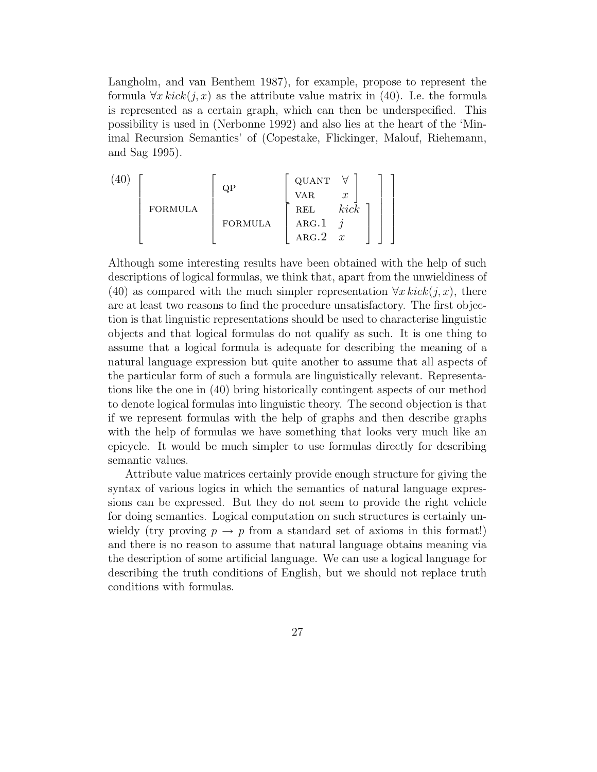Langholm, and van Benthem 1987), for example, propose to represent the formula  $\forall x \, kick(j, x)$  as the attribute value matrix in (40). I.e. the formula is represented as a certain graph, which can then be underspecified. This possibility is used in (Nerbonne 1992) and also lies at the heart of the 'Minimal Recursion Semantics' of (Copestake, Flickinger, Malouf, Riehemann, and Sag 1995).

$$
\begin{bmatrix}\n(40) \\
\text{FORMULA} \\
\text{FORMULA} \\
\text{FORMULA} \\
\text{RBL} \\
\text{ARG.1} \\
\text{ARG.2} \\
x\n\end{bmatrix}
$$

Although some interesting results have been obtained with the help of such descriptions of logical formulas, we think that, apart from the unwieldiness of (40) as compared with the much simpler representation  $\forall x \text{ } kick (i, x)$ , there are at least two reasons to find the procedure unsatisfactory. The first objection is that linguistic representations should be used to characterise linguistic objects and that logical formulas do not qualify as such. It is one thing to assume that a logical formula is adequate for describing the meaning of a natural language expression but quite another to assume that all aspects of the particular form of such a formula are linguistically relevant. Representations like the one in (40) bring historically contingent aspects of our method to denote logical formulas into linguistic theory. The second objection is that if we represent formulas with the help of graphs and then describe graphs with the help of formulas we have something that looks very much like an epicycle. It would be much simpler to use formulas directly for describing semantic values.

Attribute value matrices certainly provide enough structure for giving the syntax of various logics in which the semantics of natural language expressions can be expressed. But they do not seem to provide the right vehicle for doing semantics. Logical computation on such structures is certainly unwieldy (try proving  $p \to p$  from a standard set of axioms in this format!) and there is no reason to assume that natural language obtains meaning via the description of some artificial language. We can use a logical language for describing the truth conditions of English, but we should not replace truth conditions with formulas.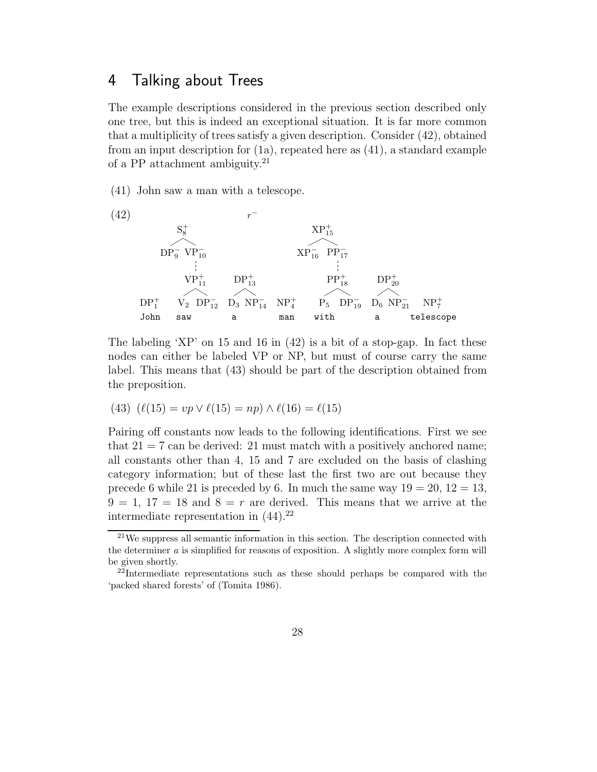## 4 Talking about Trees

The example descriptions considered in the previous section described only one tree, but this is indeed an exceptional situation. It is far more common that a multiplicity of trees satisfy a given description. Consider (42), obtained from an input description for (1a), repeated here as (41), a standard example of a PP attachment ambiguity.<sup>21</sup>

(41) John saw a man with a telescope.



The labeling 'XP' on 15 and 16 in (42) is a bit of a stop-gap. In fact these nodes can either be labeled VP or NP, but must of course carry the same label. This means that (43) should be part of the description obtained from the preposition.

(43) 
$$
(\ell(15) = vp \vee \ell(15) = np) \wedge \ell(16) = \ell(15)
$$

Pairing off constants now leads to the following identifications. First we see that  $21 = 7$  can be derived: 21 must match with a positively anchored name; all constants other than 4, 15 and 7 are excluded on the basis of clashing category information; but of these last the first two are out because they precede 6 while 21 is preceded by 6. In much the same way  $19 = 20$ ,  $12 = 13$ ,  $9 = 1, 17 = 18$  and  $8 = r$  are derived. This means that we arrive at the intermediate representation in  $(44).^{22}$ 

<sup>&</sup>lt;sup>21</sup>We suppress all semantic information in this section. The description connected with the determiner a is simplified for reasons of exposition. A slightly more complex form will be given shortly.

 $^{22}$ Intermediate representations such as these should perhaps be compared with the 'packed shared forests' of (Tomita 1986).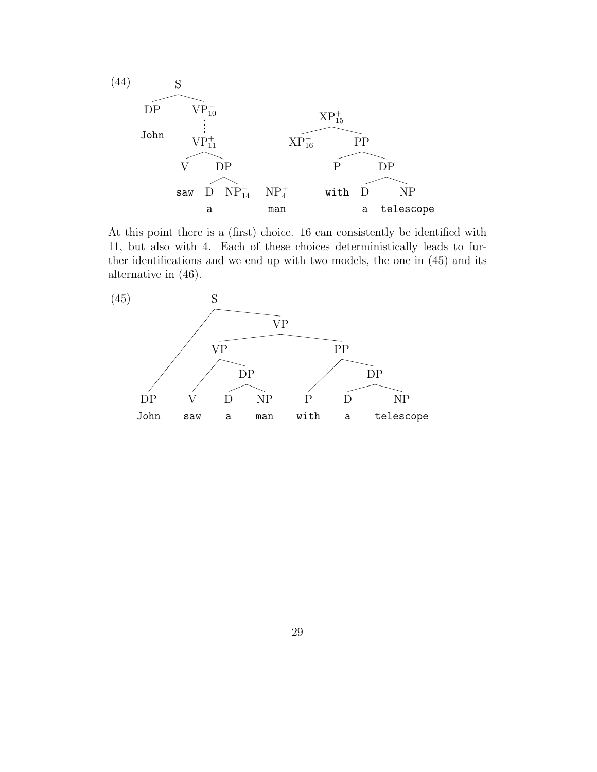

At this point there is a (first) choice. 16 can consistently be identified with 11, but also with 4. Each of these choices deterministically leads to further identifications and we end up with two models, the one in (45) and its alternative in (46).

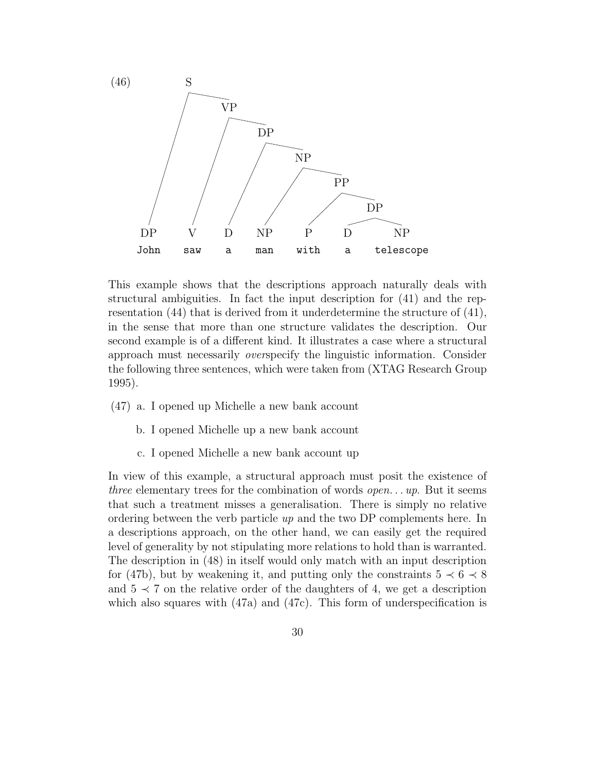

This example shows that the descriptions approach naturally deals with structural ambiguities. In fact the input description for (41) and the representation (44) that is derived from it underdetermine the structure of (41), in the sense that more than one structure validates the description. Our second example is of a different kind. It illustrates a case where a structural approach must necessarily *over*specify the linguistic information. Consider the following three sentences, which were taken from (XTAG Research Group 1995).

- (47) a. I opened up Michelle a new bank account
	- b. I opened Michelle up a new bank account
	- c. I opened Michelle a new bank account up

In view of this example, a structural approach must posit the existence of *three* elementary trees for the combination of words *open. . . up*. But it seems that such a treatment misses a generalisation. There is simply no relative ordering between the verb particle *up* and the two DP complements here. In a descriptions approach, on the other hand, we can easily get the required level of generality by not stipulating more relations to hold than is warranted. The description in (48) in itself would only match with an input description for (47b), but by weakening it, and putting only the constraints  $5 \prec 6 \prec 8$ and  $5 \prec 7$  on the relative order of the daughters of 4, we get a description which also squares with  $(47a)$  and  $(47c)$ . This form of underspecification is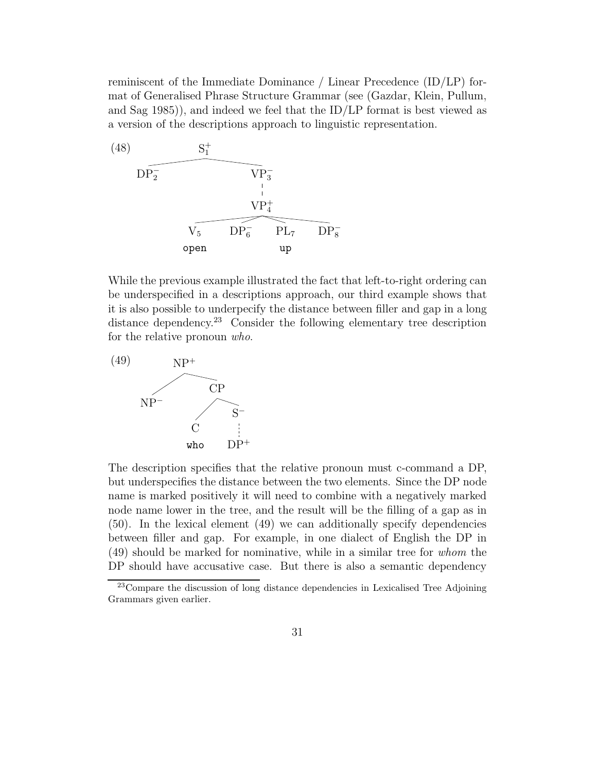reminiscent of the Immediate Dominance / Linear Precedence (ID/LP) format of Generalised Phrase Structure Grammar (see (Gazdar, Klein, Pullum, and Sag  $(1985)$ , and indeed we feel that the ID/LP format is best viewed as a version of the descriptions approach to linguistic representation.



While the previous example illustrated the fact that left-to-right ordering can be underspecified in a descriptions approach, our third example shows that it is also possible to underpecify the distance between filler and gap in a long distance dependency.<sup>23</sup> Consider the following elementary tree description for the relative pronoun *who*.



The description specifies that the relative pronoun must c-command a DP, but underspecifies the distance between the two elements. Since the DP node name is marked positively it will need to combine with a negatively marked node name lower in the tree, and the result will be the filling of a gap as in (50). In the lexical element (49) we can additionally specify dependencies between filler and gap. For example, in one dialect of English the DP in (49) should be marked for nominative, while in a similar tree for *whom* the DP should have accusative case. But there is also a semantic dependency

<sup>&</sup>lt;sup>23</sup>Compare the discussion of long distance dependencies in Lexicalised Tree Adjoining Grammars given earlier.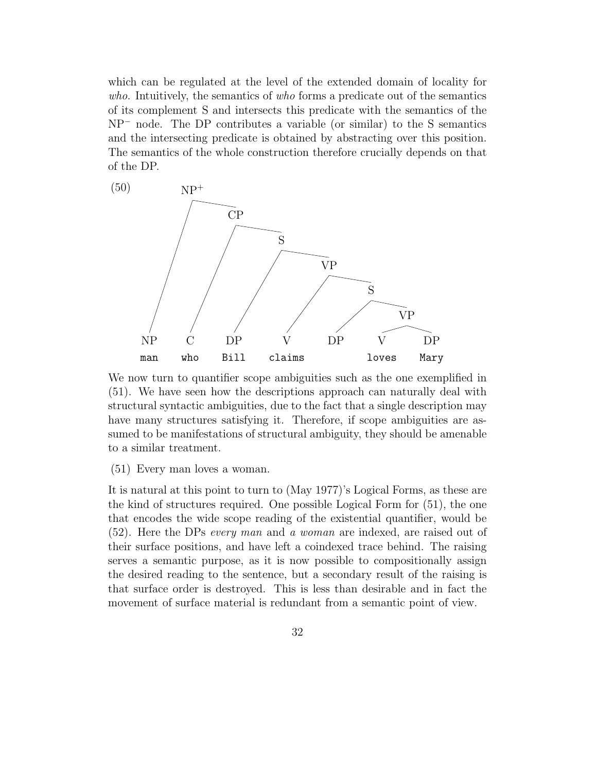which can be regulated at the level of the extended domain of locality for *who*. Intuitively, the semantics of *who* forms a predicate out of the semantics of its complement S and intersects this predicate with the semantics of the NP<sup>−</sup> node. The DP contributes a variable (or similar) to the S semantics and the intersecting predicate is obtained by abstracting over this position. The semantics of the whole construction therefore crucially depends on that of the DP.



We now turn to quantifier scope ambiguities such as the one exemplified in (51). We have seen how the descriptions approach can naturally deal with structural syntactic ambiguities, due to the fact that a single description may have many structures satisfying it. Therefore, if scope ambiguities are assumed to be manifestations of structural ambiguity, they should be amenable to a similar treatment.

(51) Every man loves a woman.

It is natural at this point to turn to (May 1977)'s Logical Forms, as these are the kind of structures required. One possible Logical Form for (51), the one that encodes the wide scope reading of the existential quantifier, would be (52). Here the DPs *every man* and *a woman* are indexed, are raised out of their surface positions, and have left a coindexed trace behind. The raising serves a semantic purpose, as it is now possible to compositionally assign the desired reading to the sentence, but a secondary result of the raising is that surface order is destroyed. This is less than desirable and in fact the movement of surface material is redundant from a semantic point of view.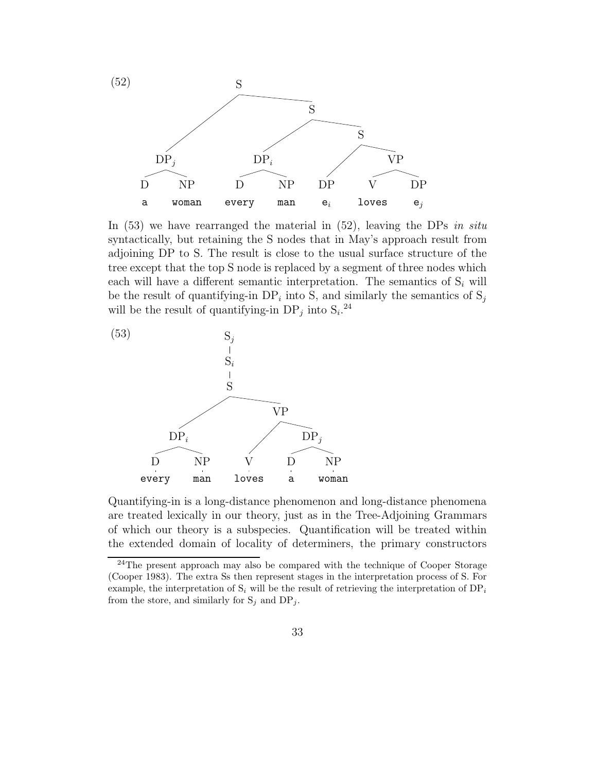

In (53) we have rearranged the material in (52), leaving the DPs *in situ* syntactically, but retaining the S nodes that in May's approach result from adjoining DP to S. The result is close to the usual surface structure of the tree except that the top S node is replaced by a segment of three nodes which each will have a different semantic interpretation. The semantics of  $S_i$  will be the result of quantifying-in  $DP_i$  into S, and similarly the semantics of  $S_j$ will be the result of quantifying-in  $DP_j$  into  $S_i$ <sup>24</sup>



Quantifying-in is a long-distance phenomenon and long-distance phenomena are treated lexically in our theory, just as in the Tree-Adjoining Grammars of which our theory is a subspecies. Quantification will be treated within the extended domain of locality of determiners, the primary constructors

 $^{24}$ The present approach may also be compared with the technique of Cooper Storage (Cooper 1983). The extra Ss then represent stages in the interpretation process of S. For example, the interpretation of  $S_i$  will be the result of retrieving the interpretation of  $DP_i$ from the store, and similarly for  $S_j$  and  $DP_j$ .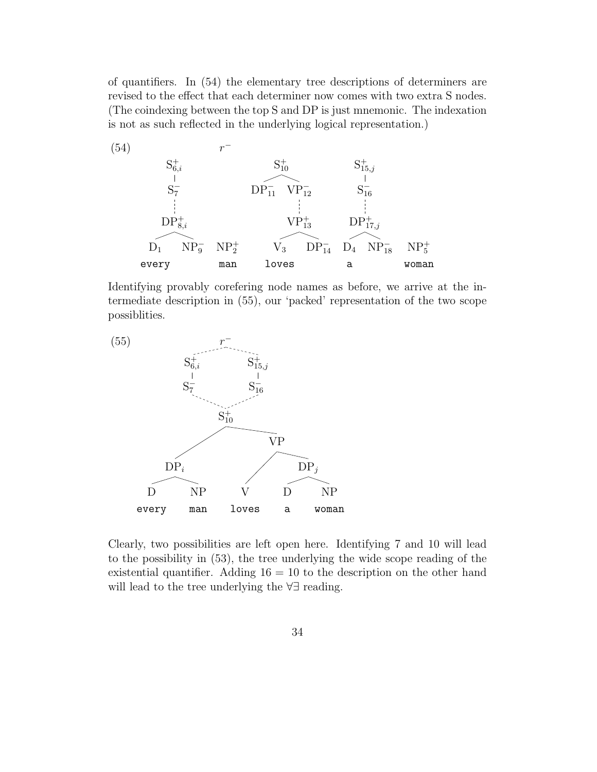of quantifiers. In (54) the elementary tree descriptions of determiners are revised to the effect that each determiner now comes with two extra S nodes. (The coindexing between the top S and DP is just mnemonic. The indexation is not as such reflected in the underlying logical representation.)



Identifying provably corefering node names as before, we arrive at the intermediate description in (55), our 'packed' representation of the two scope possiblities.



Clearly, two possibilities are left open here. Identifying 7 and 10 will lead to the possibility in (53), the tree underlying the wide scope reading of the existential quantifier. Adding  $16 = 10$  to the description on the other hand will lead to the tree underlying the ∀∃ reading.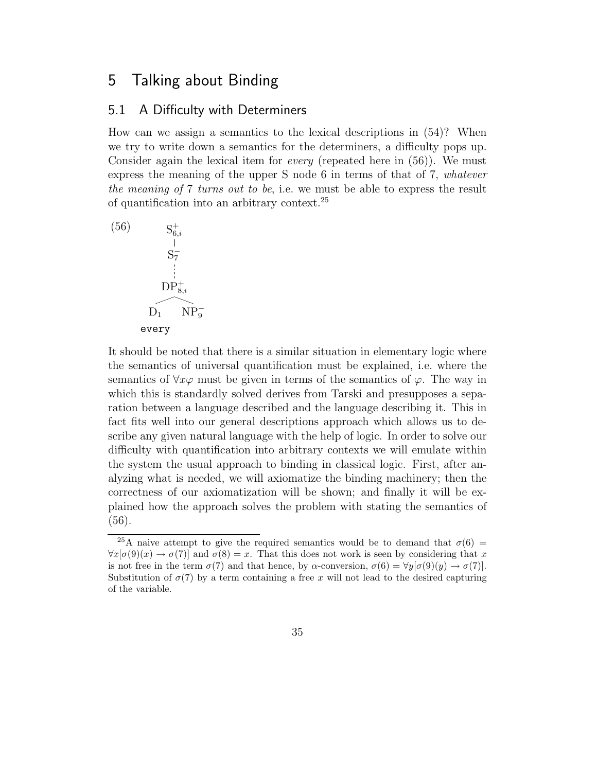## 5 Talking about Binding

#### 5.1 A Difficulty with Determiners

How can we assign a semantics to the lexical descriptions in (54)? When we try to write down a semantics for the determiners, a difficulty pops up. Consider again the lexical item for *every* (repeated here in (56)). We must express the meaning of the upper S node 6 in terms of that of 7, *whatever the meaning of* 7 *turns out to be*, i.e. we must be able to express the result of quantification into an arbitrary context.<sup>25</sup>



It should be noted that there is a similar situation in elementary logic where the semantics of universal quantification must be explained, i.e. where the semantics of  $\forall x \varphi$  must be given in terms of the semantics of  $\varphi$ . The way in which this is standardly solved derives from Tarski and presupposes a separation between a language described and the language describing it. This in fact fits well into our general descriptions approach which allows us to describe any given natural language with the help of logic. In order to solve our difficulty with quantification into arbitrary contexts we will emulate within the system the usual approach to binding in classical logic. First, after analyzing what is needed, we will axiomatize the binding machinery; then the correctness of our axiomatization will be shown; and finally it will be explained how the approach solves the problem with stating the semantics of (56).

<sup>&</sup>lt;sup>25</sup>A naive attempt to give the required semantics would be to demand that  $\sigma(6)$  =  $\forall x[\sigma(9)(x) \rightarrow \sigma(7)]$  and  $\sigma(8) = x$ . That this does not work is seen by considering that x is not free in the term  $\sigma(7)$  and that hence, by  $\alpha$ -conversion,  $\sigma(6) = \forall y[\sigma(9)(y) \rightarrow \sigma(7)]$ . Substitution of  $\sigma(7)$  by a term containing a free x will not lead to the desired capturing of the variable.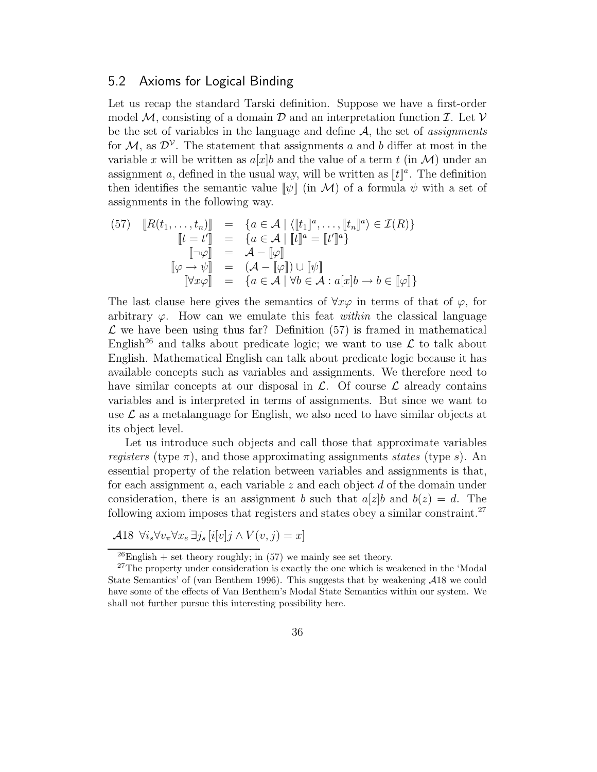#### 5.2 Axioms for Logical Binding

Let us recap the standard Tarski definition. Suppose we have a first-order model M, consisting of a domain  $\mathcal D$  and an interpretation function  $\mathcal I$ . Let  $\mathcal V$ be the set of variables in the language and define A, the set of *assignments* for  $\mathcal{M}$ , as  $\mathcal{D}^{\mathcal{V}}$ . The statement that assignments a and b differ at most in the variable x will be written as  $a[x]b$  and the value of a term t (in M) under an assignment a, defined in the usual way, will be written as  $[[t]]<sup>a</sup>$ . The definition then identifies the semantic value  $[\![\psi]\!]$  (in M) of a formula  $\psi$  with a set of assignments in the following way.

(57) 
$$
[R(t_1, \ldots, t_n)] = \{a \in \mathcal{A} \mid \langle [t_1]^a, \ldots, [t_n]^a \rangle \in \mathcal{I}(R)\}
$$

$$
[t = t'] = \{a \in \mathcal{A} \mid [t]^a = [t']^a\}
$$

$$
[\neg \varphi] = \mathcal{A} - [\varphi]
$$

$$
[\varphi \to \psi] = (\mathcal{A} - [\varphi]) \cup [\psi]
$$

$$
[\forall x \varphi] = \{a \in \mathcal{A} \mid \forall b \in \mathcal{A} : a[x]b \to b \in [\varphi]\}
$$

The last clause here gives the semantics of  $\forall x \varphi$  in terms of that of  $\varphi$ , for arbitrary  $\varphi$ . How can we emulate this feat *within* the classical language  $\mathcal L$  we have been using thus far? Definition (57) is framed in mathematical English<sup>26</sup> and talks about predicate logic; we want to use  $\mathcal L$  to talk about English. Mathematical English can talk about predicate logic because it has available concepts such as variables and assignments. We therefore need to have similar concepts at our disposal in  $\mathcal{L}$ . Of course  $\mathcal{L}$  already contains variables and is interpreted in terms of assignments. But since we want to use  $\mathcal L$  as a metalanguage for English, we also need to have similar objects at its object level.

Let us introduce such objects and call those that approximate variables *registers* (type  $\pi$ ), and those approximating assignments *states* (type s). An essential property of the relation between variables and assignments is that, for each assignment  $a$ , each variable  $z$  and each object  $d$  of the domain under consideration, there is an assignment b such that  $a[z]$ b and  $b(z) = d$ . The following axiom imposes that registers and states obey a similar constraint.<sup>27</sup>

A18  $\forall i_s \forall v_\pi \forall x_e \exists j_s [i[v]j \wedge V(v, j) = x]$ 

 $^{26}$ English + set theory roughly; in (57) we mainly see set theory.

<sup>&</sup>lt;sup>27</sup>The property under consideration is exactly the one which is weakened in the 'Modal State Semantics' of (van Benthem 1996). This suggests that by weakening A18 we could have some of the effects of Van Benthem's Modal State Semantics within our system. We shall not further pursue this interesting possibility here.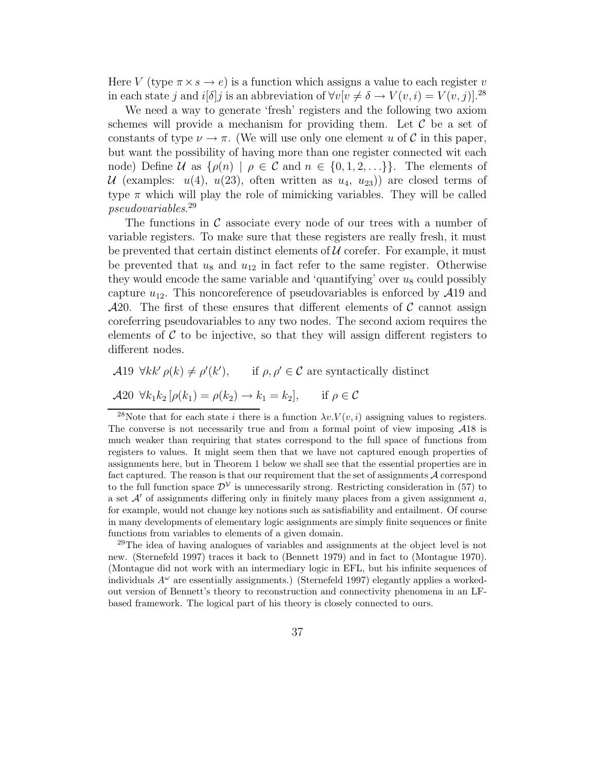Here V (type  $\pi \times s \to e$ ) is a function which assigns a value to each register v in each state j and  $i[\delta]$ j is an abbreviation of  $\forall v[v \neq \delta \rightarrow V(v, i) = V(v, j)]$ .<sup>28</sup>

We need a way to generate 'fresh' registers and the following two axiom schemes will provide a mechanism for providing them. Let  $\mathcal C$  be a set of constants of type  $\nu \to \pi$ . (We will use only one element u of C in this paper, but want the possibility of having more than one register connected wit each node) Define U as  $\{\rho(n) \mid \rho \in C \text{ and } n \in \{0, 1, 2, ...\} \}$ . The elements of U (examples:  $u(4)$ ,  $u(23)$ , often written as  $u_4$ ,  $u_{23}$ ) are closed terms of type  $\pi$  which will play the role of mimicking variables. They will be called *pseudovariables*. 29

The functions in  $\mathcal C$  associate every node of our trees with a number of variable registers. To make sure that these registers are really fresh, it must be prevented that certain distinct elements of  $\mathcal U$  corefer. For example, it must be prevented that  $u_8$  and  $u_{12}$  in fact refer to the same register. Otherwise they would encode the same variable and 'quantifying' over  $u_8$  could possibly capture  $u_{12}$ . This noncoreference of pseudovariables is enforced by  $\mathcal{A}19$  and  $\mathcal{A}20$ . The first of these ensures that different elements of C cannot assign coreferring pseudovariables to any two nodes. The second axiom requires the elements of  $\mathcal C$  to be injective, so that they will assign different registers to different nodes.

A19  $\forall kk' \rho(k) \neq \rho'(k'), \quad \text{if } \rho, \rho' \in \mathcal{C} \text{ are syntactically distinct}$ 

$$
\mathcal{A}20 \ \forall k_1 k_2 [\rho(k_1) = \rho(k_2) \rightarrow k_1 = k_2], \quad \text{if } \rho \in \mathcal{C}
$$

<sup>28</sup>Note that for each state *i* there is a function  $\lambda v. V(v, i)$  assigning values to registers. The converse is not necessarily true and from a formal point of view imposing A18 is much weaker than requiring that states correspond to the full space of functions from registers to values. It might seem then that we have not captured enough properties of assignments here, but in Theorem 1 below we shall see that the essential properties are in fact captured. The reason is that our requirement that the set of assignments  $A$  correspond to the full function space  $\mathcal{D}^{\mathcal{V}}$  is unnecessarily strong. Restricting consideration in (57) to a set  $\mathcal{A}'$  of assignments differing only in finitely many places from a given assignment a, for example, would not change key notions such as satisfiability and entailment. Of course in many developments of elementary logic assignments are simply finite sequences or finite functions from variables to elements of a given domain.

<sup>29</sup>The idea of having analogues of variables and assignments at the object level is not new. (Sternefeld 1997) traces it back to (Bennett 1979) and in fact to (Montague 1970). (Montague did not work with an intermediary logic in EFL, but his infinite sequences of individuals  $A^{\omega}$  are essentially assignments.) (Sternefeld 1997) elegantly applies a workedout version of Bennett's theory to reconstruction and connectivity phenomena in an LFbased framework. The logical part of his theory is closely connected to ours.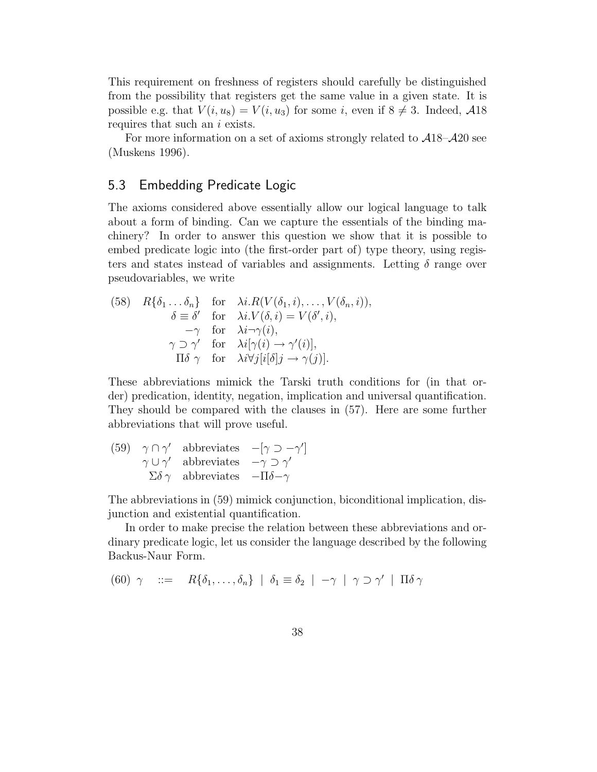This requirement on freshness of registers should carefully be distinguished from the possibility that registers get the same value in a given state. It is possible e.g. that  $V(i, u_8) = V(i, u_3)$  for some i, even if  $8 \neq 3$ . Indeed,  $\mathcal{A}18$ requires that such an i exists.

For more information on a set of axioms strongly related to  $\mathcal{A}18-\mathcal{A}20$  see (Muskens 1996).

#### 5.3 Embedding Predicate Logic

The axioms considered above essentially allow our logical language to talk about a form of binding. Can we capture the essentials of the binding machinery? In order to answer this question we show that it is possible to embed predicate logic into (the first-order part of) type theory, using registers and states instead of variables and assignments. Letting  $\delta$  range over pseudovariables, we write

(58) 
$$
R\{\delta_1 \dots \delta_n\}
$$
 for  $\lambda i.R(V(\delta_1, i), \dots, V(\delta_n, i)),$   
\n $\delta \equiv \delta'$  for  $\lambda i.V(\delta, i) = V(\delta', i),$   
\n $-\gamma$  for  $\lambda i \neg \gamma(i),$   
\n $\gamma \supset \gamma'$  for  $\lambda i[\gamma(i) \rightarrow \gamma'(i)],$   
\n $\Pi \delta \gamma$  for  $\lambda i \forall j[i[\delta] j \rightarrow \gamma(j)].$ 

These abbreviations mimick the Tarski truth conditions for (in that order) predication, identity, negation, implication and universal quantification. They should be compared with the clauses in (57). Here are some further abbreviations that will prove useful.

|  | (59) $\gamma \cap \gamma'$ abbreviates $-[\gamma \supset -\gamma']$ |  |
|--|---------------------------------------------------------------------|--|
|  | $\gamma \cup \gamma'$ abbreviates $-\gamma \supset \gamma'$         |  |
|  | $\Sigma \delta \gamma$ abbreviates $-\Pi \delta - \gamma$           |  |

The abbreviations in (59) mimick conjunction, biconditional implication, disjunction and existential quantification.

In order to make precise the relation between these abbreviations and ordinary predicate logic, let us consider the language described by the following Backus-Naur Form.

(60) 
$$
\gamma
$$
 ::=  $R\{\delta_1,\ldots,\delta_n\} | \delta_1 \equiv \delta_2 | -\gamma | \gamma \supset \gamma' | \Pi \delta \gamma$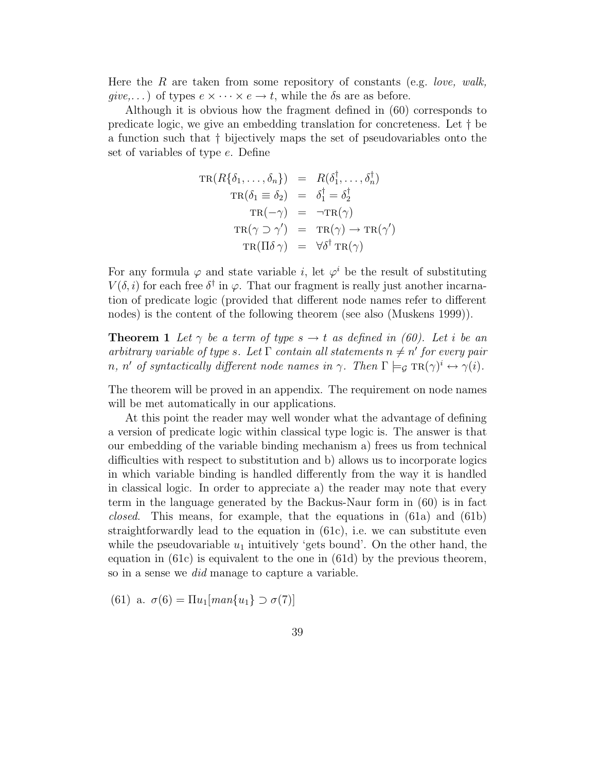Here the R are taken from some repository of constants (e.g. *love, walk, give,...*) of types  $e \times \cdots \times e \rightarrow t$ , while the  $\delta s$  are as before.

Although it is obvious how the fragment defined in (60) corresponds to predicate logic, we give an embedding translation for concreteness. Let † be a function such that † bijectively maps the set of pseudovariables onto the set of variables of type e. Define

$$
TR(R\{\delta_1, \ldots, \delta_n\}) = R(\delta_1^{\dagger}, \ldots, \delta_n^{\dagger})
$$
  
\n
$$
TR(\delta_1 \equiv \delta_2) = \delta_1^{\dagger} = \delta_2^{\dagger}
$$
  
\n
$$
TR(-\gamma) = \neg TR(\gamma)
$$
  
\n
$$
TR(\gamma \supset \gamma') = TR(\gamma) \rightarrow TR(\gamma')
$$
  
\n
$$
TR(\Pi \delta \gamma) = \forall \delta^{\dagger} TR(\gamma)
$$

For any formula  $\varphi$  and state variable *i*, let  $\varphi^i$  be the result of substituting  $V(\delta, i)$  for each free  $\delta^{\dagger}$  in  $\varphi$ . That our fragment is really just another incarnation of predicate logic (provided that different node names refer to different nodes) is the content of the following theorem (see also (Muskens 1999)).

**Theorem 1** Let  $\gamma$  be a term of type  $s \to t$  as defined in (60). Let *i* be an *arbitrary variable of type s.* Let  $\Gamma$  *contain all statements*  $n \neq n'$  *for every pair n*, *n'* of syntactically different node names in  $\gamma$ . Then  $\Gamma \models_{\mathcal{G}} \text{TR}(\gamma)^i \leftrightarrow \gamma(i)$ .

The theorem will be proved in an appendix. The requirement on node names will be met automatically in our applications.

At this point the reader may well wonder what the advantage of defining a version of predicate logic within classical type logic is. The answer is that our embedding of the variable binding mechanism a) frees us from technical difficulties with respect to substitution and b) allows us to incorporate logics in which variable binding is handled differently from the way it is handled in classical logic. In order to appreciate a) the reader may note that every term in the language generated by the Backus-Naur form in (60) is in fact *closed*. This means, for example, that the equations in (61a) and (61b) straightforwardly lead to the equation in  $(61c)$ , i.e. we can substitute even while the pseudovariable  $u_1$  intuitively 'gets bound'. On the other hand, the equation in (61c) is equivalent to the one in (61d) by the previous theorem, so in a sense we *did* manage to capture a variable.

(61) a.  $\sigma(6) = \prod u_1 \{ man\{u_1\} \supset \sigma(7) \}$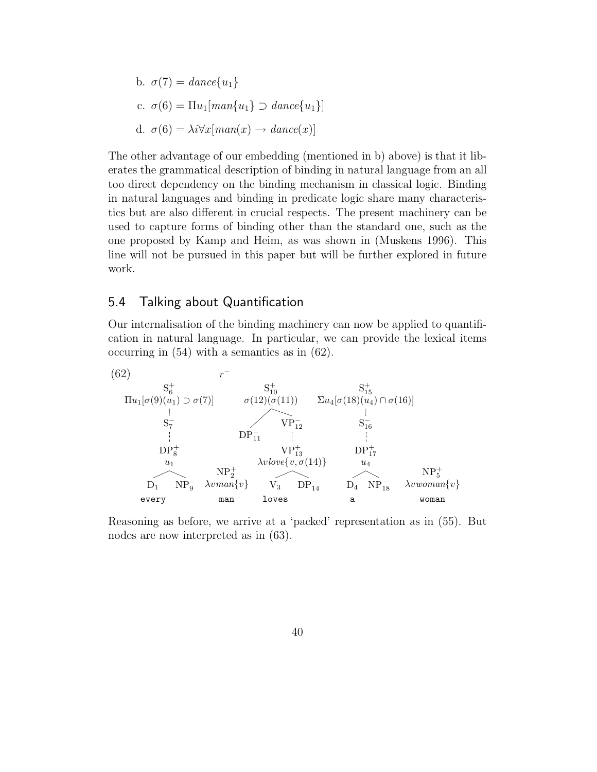\n- b. 
$$
\sigma(7) = \text{dance}\{u_1\}
$$
\n- c.  $\sigma(6) = \Pi u_1[\text{man}\{u_1\} \supset \text{dance}\{u_1\}]$
\n- d.  $\sigma(6) = \lambda i \forall x[\text{man}(x) \rightarrow \text{dance}(x)]$
\n

The other advantage of our embedding (mentioned in b) above) is that it liberates the grammatical description of binding in natural language from an all too direct dependency on the binding mechanism in classical logic. Binding in natural languages and binding in predicate logic share many characteristics but are also different in crucial respects. The present machinery can be used to capture forms of binding other than the standard one, such as the one proposed by Kamp and Heim, as was shown in (Muskens 1996). This line will not be pursued in this paper but will be further explored in future work.

#### 5.4 Talking about Quantification

Our internalisation of the binding machinery can now be applied to quantification in natural language. In particular, we can provide the lexical items occurring in (54) with a semantics as in (62).



Reasoning as before, we arrive at a 'packed' representation as in (55). But nodes are now interpreted as in (63).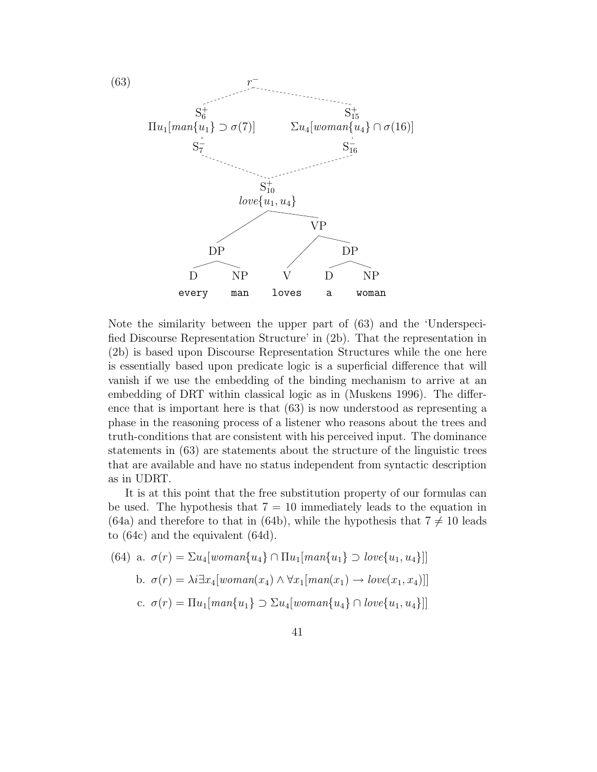

Note the similarity between the upper part of (63) and the 'Underspecified Discourse Representation Structure' in (2b). That the representation in (2b) is based upon Discourse Representation Structures while the one here is essentially based upon predicate logic is a superficial difference that will vanish if we use the embedding of the binding mechanism to arrive at an embedding of DRT within classical logic as in (Muskens 1996). The difference that is important here is that (63) is now understood as representing a phase in the reasoning process of a listener who reasons about the trees and truth-conditions that are consistent with his perceived input. The dominance statements in (63) are statements about the structure of the linguistic trees that are available and have no status independent from syntactic description as in UDRT.

It is at this point that the free substitution property of our formulas can be used. The hypothesis that  $7 = 10$  immediately leads to the equation in (64a) and therefore to that in (64b), while the hypothesis that  $7 \neq 10$  leads to (64c) and the equivalent (64d).

(64) a. 
$$
\sigma(r) = \sum u_4[woman\{u_4\} \cap \prod u_1[man\{u_1\} \supset low\{u_1, u_4\}]]
$$
  
\nb.  $\sigma(r) = \lambda i \exists x_4[woman(x_4) \land \forall x_1[man(x_1) \rightarrow low(x_1, x_4)]]$   
\nc.  $\sigma(r) = \prod u_1[man\{u_1\} \supset \sum u_4[woman\{u_4\} \cap low\{u_1, u_4\}]]$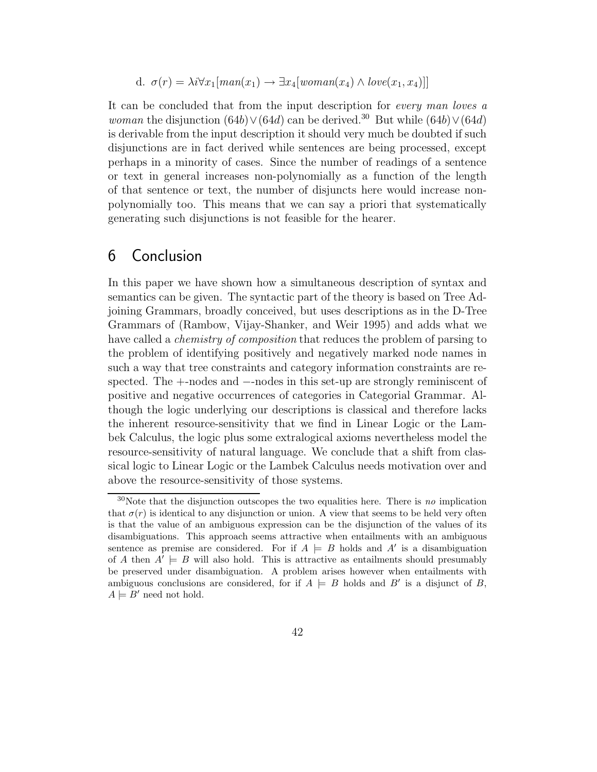d. 
$$
\sigma(r) = \lambda i \forall x_1 [man(x_1) \rightarrow \exists x_4 [woman(x_4) \land love(x_1, x_4)]]
$$

It can be concluded that from the input description for *every man loves a woman* the disjunction  $(64b) \vee (64d)$  can be derived.<sup>30</sup> But while  $(64b) \vee (64d)$ is derivable from the input description it should very much be doubted if such disjunctions are in fact derived while sentences are being processed, except perhaps in a minority of cases. Since the number of readings of a sentence or text in general increases non-polynomially as a function of the length of that sentence or text, the number of disjuncts here would increase nonpolynomially too. This means that we can say a priori that systematically generating such disjunctions is not feasible for the hearer.

## 6 Conclusion

In this paper we have shown how a simultaneous description of syntax and semantics can be given. The syntactic part of the theory is based on Tree Adjoining Grammars, broadly conceived, but uses descriptions as in the D-Tree Grammars of (Rambow, Vijay-Shanker, and Weir 1995) and adds what we have called a *chemistry of composition* that reduces the problem of parsing to the problem of identifying positively and negatively marked node names in such a way that tree constraints and category information constraints are respected. The  $+$ -nodes and  $-$ -nodes in this set-up are strongly reminiscent of positive and negative occurrences of categories in Categorial Grammar. Although the logic underlying our descriptions is classical and therefore lacks the inherent resource-sensitivity that we find in Linear Logic or the Lambek Calculus, the logic plus some extralogical axioms nevertheless model the resource-sensitivity of natural language. We conclude that a shift from classical logic to Linear Logic or the Lambek Calculus needs motivation over and above the resource-sensitivity of those systems.

<sup>&</sup>lt;sup>30</sup>Note that the disjunction outscopes the two equalities here. There is no implication that  $\sigma(r)$  is identical to any disjunction or union. A view that seems to be held very often is that the value of an ambiguous expression can be the disjunction of the values of its disambiguations. This approach seems attractive when entailments with an ambiguous sentence as premise are considered. For if  $A \models B$  holds and A' is a disambiguation of A then  $A' \models B$  will also hold. This is attractive as entailments should presumably be preserved under disambiguation. A problem arises however when entailments with ambiguous conclusions are considered, for if  $A \models B$  holds and B' is a disjunct of B,  $A \models B'$  need not hold.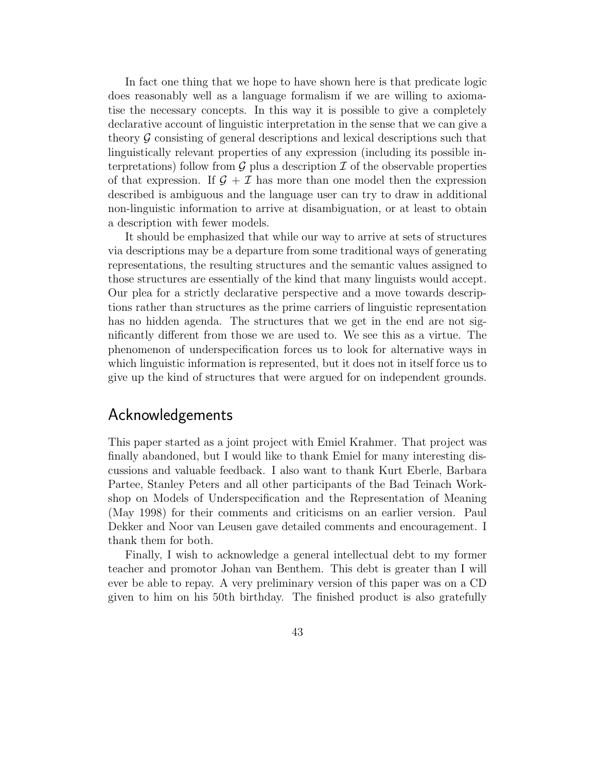In fact one thing that we hope to have shown here is that predicate logic does reasonably well as a language formalism if we are willing to axiomatise the necessary concepts. In this way it is possible to give a completely declarative account of linguistic interpretation in the sense that we can give a theory  $\mathcal G$  consisting of general descriptions and lexical descriptions such that linguistically relevant properties of any expression (including its possible interpretations) follow from  $\mathcal G$  plus a description  $\mathcal I$  of the observable properties of that expression. If  $\mathcal{G} + \mathcal{I}$  has more than one model then the expression described is ambiguous and the language user can try to draw in additional non-linguistic information to arrive at disambiguation, or at least to obtain a description with fewer models.

It should be emphasized that while our way to arrive at sets of structures via descriptions may be a departure from some traditional ways of generating representations, the resulting structures and the semantic values assigned to those structures are essentially of the kind that many linguists would accept. Our plea for a strictly declarative perspective and a move towards descriptions rather than structures as the prime carriers of linguistic representation has no hidden agenda. The structures that we get in the end are not significantly different from those we are used to. We see this as a virtue. The phenomenon of underspecification forces us to look for alternative ways in which linguistic information is represented, but it does not in itself force us to give up the kind of structures that were argued for on independent grounds.

### Acknowledgements

This paper started as a joint project with Emiel Krahmer. That project was finally abandoned, but I would like to thank Emiel for many interesting discussions and valuable feedback. I also want to thank Kurt Eberle, Barbara Partee, Stanley Peters and all other participants of the Bad Teinach Workshop on Models of Underspecification and the Representation of Meaning (May 1998) for their comments and criticisms on an earlier version. Paul Dekker and Noor van Leusen gave detailed comments and encouragement. I thank them for both.

Finally, I wish to acknowledge a general intellectual debt to my former teacher and promotor Johan van Benthem. This debt is greater than I will ever be able to repay. A very preliminary version of this paper was on a CD given to him on his 50th birthday. The finished product is also gratefully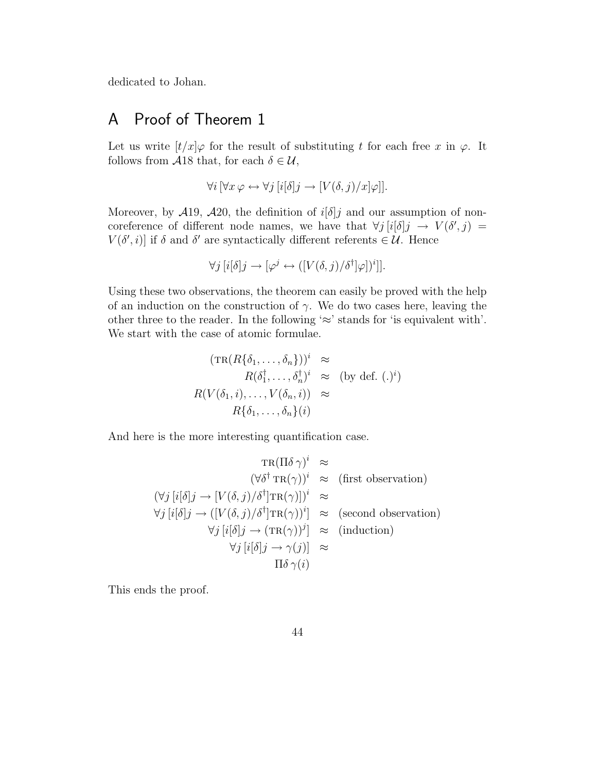dedicated to Johan.

## A Proof of Theorem 1

Let us write  $[t/x]\varphi$  for the result of substituting t for each free x in  $\varphi$ . It follows from  $\mathcal{A}18$  that, for each  $\delta \in \mathcal{U}$ ,

$$
\forall i \left[ \forall x \, \varphi \leftrightarrow \forall j \left[ i[\delta]j \rightarrow \left[ V(\delta, j)/x \right] \varphi \right] \right].
$$

Moreover, by  $\mathcal{A}19$ ,  $\mathcal{A}20$ , the definition of  $i[\delta]j$  and our assumption of noncoreference of different node names, we have that  $\forall j \, [i[\delta]j \rightarrow V(\delta', j)$  $V(\delta', i)$  if  $\delta$  and  $\delta'$  are syntactically different referents  $\in \mathcal{U}$ . Hence

$$
\forall j \, [i[\delta]j \to [\varphi^j \leftrightarrow ([V(\delta, j)/\delta^{\dagger}]\varphi])^i]].
$$

Using these two observations, the theorem can easily be proved with the help of an induction on the construction of  $\gamma$ . We do two cases here, leaving the other three to the reader. In the following  $\approx$ ' stands for 'is equivalent with'. We start with the case of atomic formulae.

$$
(\text{TR}(R\{\delta_1, \dots, \delta_n\}))^i \approx
$$
  
\n
$$
R(\delta_1^{\dagger}, \dots, \delta_n^{\dagger})^i \approx (\text{by def. } (\cdot)^i)
$$
  
\n
$$
R(V(\delta_1, i), \dots, V(\delta_n, i)) \approx
$$
  
\n
$$
R\{\delta_1, \dots, \delta_n\}(i)
$$

And here is the more interesting quantification case.

$$
\operatorname{TR}(\Pi \delta \gamma)^i \approx
$$
  
\n
$$
(\forall \delta^{\dagger} \operatorname{TR}(\gamma))^i \approx (\text{first observation})
$$
  
\n
$$
(\forall j [i[\delta]j \rightarrow [V(\delta, j)/\delta^{\dagger}] \operatorname{TR}(\gamma)])^i \approx
$$
  
\n
$$
\forall j [i[\delta]j \rightarrow ([V(\delta, j)/\delta^{\dagger}] \operatorname{TR}(\gamma))^i] \approx (\text{second observation})
$$
  
\n
$$
\forall j [i[\delta]j \rightarrow (\operatorname{TR}(\gamma))^j] \approx (\text{induction})
$$
  
\n
$$
\forall j [i[\delta]j \rightarrow \gamma(j)] \approx
$$
  
\n
$$
\Pi \delta \gamma(i)
$$

This ends the proof.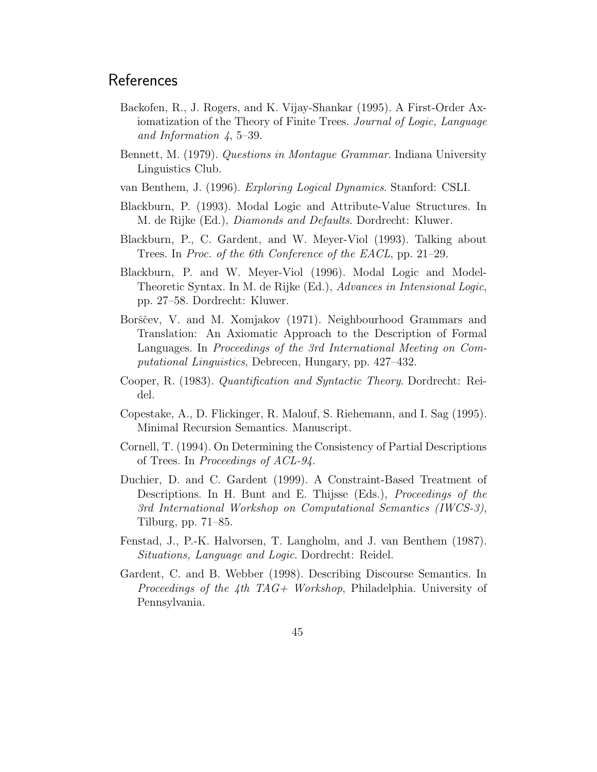## References

- Backofen, R., J. Rogers, and K. Vijay-Shankar (1995). A First-Order Axiomatization of the Theory of Finite Trees. *Journal of Logic, Language and Information 4*, 5–39.
- Bennett, M. (1979). *Questions in Montague Grammar*. Indiana University Linguistics Club.
- van Benthem, J. (1996). *Exploring Logical Dynamics*. Stanford: CSLI.
- Blackburn, P. (1993). Modal Logic and Attribute-Value Structures. In M. de Rijke (Ed.), *Diamonds and Defaults*. Dordrecht: Kluwer.
- Blackburn, P., C. Gardent, and W. Meyer-Viol (1993). Talking about Trees. In *Proc. of the 6th Conference of the EACL*, pp. 21–29.
- Blackburn, P. and W. Meyer-Viol (1996). Modal Logic and Model-Theoretic Syntax. In M. de Rijke (Ed.), *Advances in Intensional Logic*, pp. 27–58. Dordrecht: Kluwer.
- Borščev, V. and M. Xomjakov (1971). Neighbourhood Grammars and Translation: An Axiomatic Approach to the Description of Formal Languages. In *Proceedings of the 3rd International Meeting on Computational Linguistics*, Debrecen, Hungary, pp. 427–432.
- Cooper, R. (1983). *Quantification and Syntactic Theory*. Dordrecht: Reidel.
- Copestake, A., D. Flickinger, R. Malouf, S. Riehemann, and I. Sag (1995). Minimal Recursion Semantics. Manuscript.
- Cornell, T. (1994). On Determining the Consistency of Partial Descriptions of Trees. In *Proceedings of ACL-94*.
- Duchier, D. and C. Gardent (1999). A Constraint-Based Treatment of Descriptions. In H. Bunt and E. Thijsse (Eds.), *Proceedings of the 3rd International Workshop on Computational Semantics (IWCS-3)*, Tilburg, pp. 71–85.
- Fenstad, J., P.-K. Halvorsen, T. Langholm, and J. van Benthem (1987). *Situations, Language and Logic*. Dordrecht: Reidel.
- Gardent, C. and B. Webber (1998). Describing Discourse Semantics. In *Proceedings of the 4th TAG+ Workshop*, Philadelphia. University of Pennsylvania.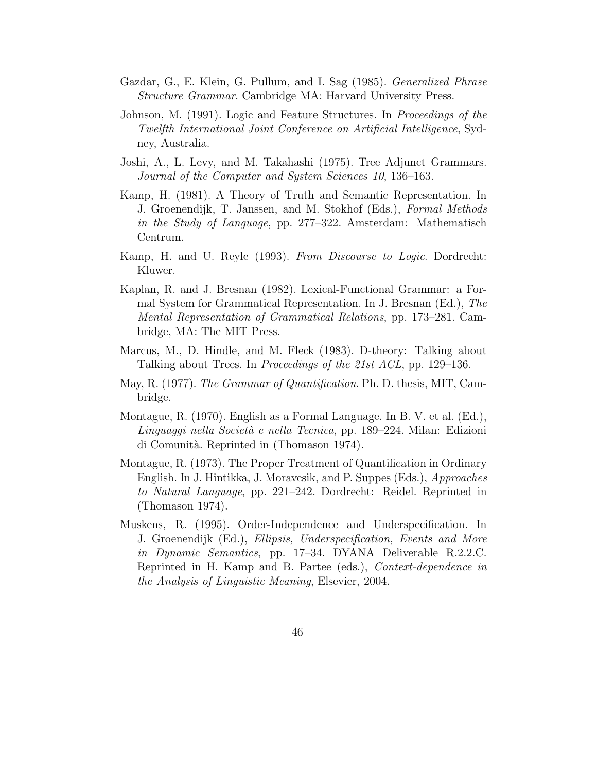- Gazdar, G., E. Klein, G. Pullum, and I. Sag (1985). *Generalized Phrase Structure Grammar*. Cambridge MA: Harvard University Press.
- Johnson, M. (1991). Logic and Feature Structures. In *Proceedings of the Twelfth International Joint Conference on Artificial Intelligence*, Sydney, Australia.
- Joshi, A., L. Levy, and M. Takahashi (1975). Tree Adjunct Grammars. *Journal of the Computer and System Sciences 10*, 136–163.
- Kamp, H. (1981). A Theory of Truth and Semantic Representation. In J. Groenendijk, T. Janssen, and M. Stokhof (Eds.), *Formal Methods in the Study of Language*, pp. 277–322. Amsterdam: Mathematisch Centrum.
- Kamp, H. and U. Reyle (1993). *From Discourse to Logic*. Dordrecht: Kluwer.
- Kaplan, R. and J. Bresnan (1982). Lexical-Functional Grammar: a Formal System for Grammatical Representation. In J. Bresnan (Ed.), *The Mental Representation of Grammatical Relations*, pp. 173–281. Cambridge, MA: The MIT Press.
- Marcus, M., D. Hindle, and M. Fleck (1983). D-theory: Talking about Talking about Trees. In *Proceedings of the 21st ACL*, pp. 129–136.
- May, R. (1977). *The Grammar of Quantification*. Ph. D. thesis, MIT, Cambridge.
- Montague, R. (1970). English as a Formal Language. In B. V. et al. (Ed.), *Linguaggi nella Societ`a e nella Tecnica*, pp. 189–224. Milan: Edizioni di Comunità. Reprinted in (Thomason 1974).
- Montague, R. (1973). The Proper Treatment of Quantification in Ordinary English. In J. Hintikka, J. Moravcsik, and P. Suppes (Eds.), *Approaches to Natural Language*, pp. 221–242. Dordrecht: Reidel. Reprinted in (Thomason 1974).
- Muskens, R. (1995). Order-Independence and Underspecification. In J. Groenendijk (Ed.), *Ellipsis, Underspecification, Events and More in Dynamic Semantics*, pp. 17–34. DYANA Deliverable R.2.2.C. Reprinted in H. Kamp and B. Partee (eds.), *Context-dependence in the Analysis of Linguistic Meaning*, Elsevier, 2004.